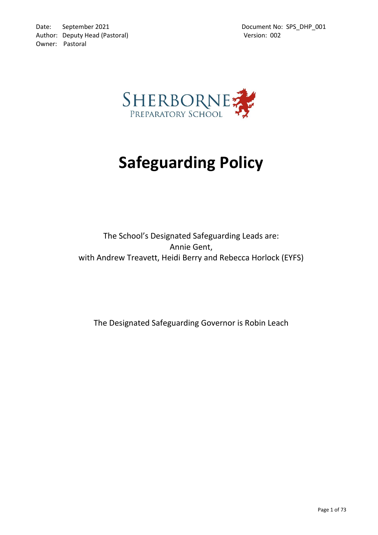

# **Safeguarding Policy**

The School's Designated Safeguarding Leads are: Annie Gent, with Andrew Treavett, Heidi Berry and Rebecca Horlock (EYFS)

The Designated Safeguarding Governor is Robin Leach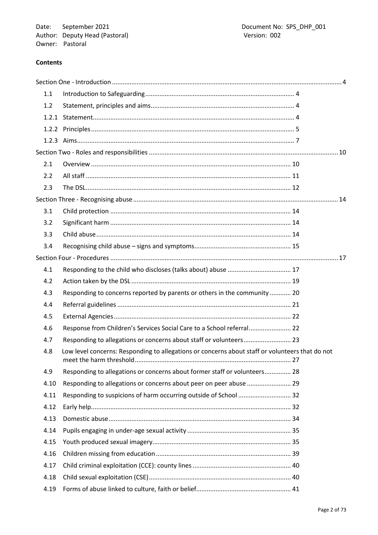# **Contents**

| 1.1   |                                                                                                 |  |
|-------|-------------------------------------------------------------------------------------------------|--|
| 1.2   |                                                                                                 |  |
|       |                                                                                                 |  |
| 1.2.2 |                                                                                                 |  |
|       |                                                                                                 |  |
|       |                                                                                                 |  |
| 2.1   |                                                                                                 |  |
| 2.2   |                                                                                                 |  |
| 2.3   |                                                                                                 |  |
|       |                                                                                                 |  |
| 3.1   |                                                                                                 |  |
| 3.2   |                                                                                                 |  |
| 3.3   |                                                                                                 |  |
| 3.4   |                                                                                                 |  |
|       |                                                                                                 |  |
| 4.1   |                                                                                                 |  |
| 4.2   |                                                                                                 |  |
| 4.3   | Responding to concerns reported by parents or others in the community  20                       |  |
| 4.4   |                                                                                                 |  |
| 4.5   |                                                                                                 |  |
| 4.6   | Response from Children's Services Social Care to a School referral 22                           |  |
| 4.7   | Responding to allegations or concerns about staff or volunteers 23                              |  |
| 4.8   | Low level concerns: Responding to allegations or concerns about staff or volunteers that do not |  |
| 4.9   | Responding to allegations or concerns about former staff or volunteers 28                       |  |
| 4.10  | Responding to allegations or concerns about peer on peer abuse  29                              |  |
| 4.11  | Responding to suspicions of harm occurring outside of School  32                                |  |
| 4.12  |                                                                                                 |  |
| 4.13  |                                                                                                 |  |
| 4.14  |                                                                                                 |  |
| 4.15  |                                                                                                 |  |
| 4.16  |                                                                                                 |  |
| 4.17  |                                                                                                 |  |
| 4.18  |                                                                                                 |  |
| 4.19  |                                                                                                 |  |
|       |                                                                                                 |  |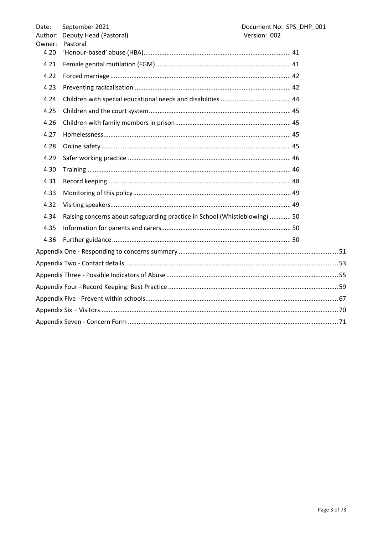| Date:  | September 2021                                                              | Document No: SPS_DHP_001 |  |  |
|--------|-----------------------------------------------------------------------------|--------------------------|--|--|
|        | Author: Deputy Head (Pastoral)                                              | Version: 002             |  |  |
| Owner: | Pastoral                                                                    |                          |  |  |
| 4.20   |                                                                             |                          |  |  |
| 4.21   |                                                                             |                          |  |  |
| 4.22   |                                                                             |                          |  |  |
| 4.23   |                                                                             |                          |  |  |
| 4.24   |                                                                             |                          |  |  |
| 4.25   |                                                                             |                          |  |  |
| 4.26   |                                                                             |                          |  |  |
| 4.27   |                                                                             |                          |  |  |
| 4.28   |                                                                             |                          |  |  |
| 4.29   |                                                                             |                          |  |  |
| 4.30   |                                                                             |                          |  |  |
| 4.31   |                                                                             |                          |  |  |
| 4.33   |                                                                             |                          |  |  |
| 4.32   |                                                                             |                          |  |  |
| 4.34   | Raising concerns about safeguarding practice in School (Whistleblowing)  50 |                          |  |  |
| 4.35   |                                                                             |                          |  |  |
| 4.36   |                                                                             |                          |  |  |
|        |                                                                             |                          |  |  |
|        |                                                                             |                          |  |  |
|        |                                                                             |                          |  |  |
|        |                                                                             |                          |  |  |
|        |                                                                             |                          |  |  |
|        |                                                                             |                          |  |  |
|        |                                                                             |                          |  |  |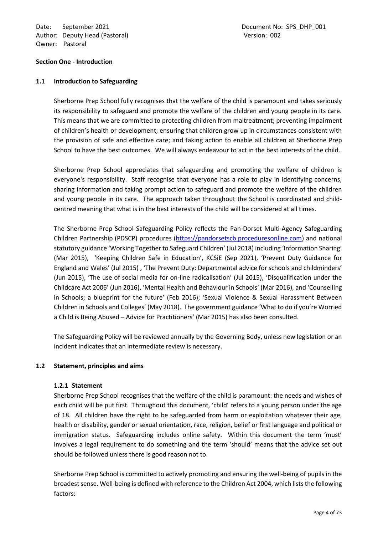Date: September 2021 **Document No: SPS\_DHP\_001** Author: Deputy Head (Pastoral) and the control of the Version: 002 Owner: Pastoral

#### <span id="page-3-0"></span>**Section One - Introduction**

#### <span id="page-3-1"></span>**1.1 Introduction to Safeguarding**

Sherborne Prep School fully recognises that the welfare of the child is paramount and takes seriously its responsibility to safeguard and promote the welfare of the children and young people in its care. This means that we are committed to protecting children from maltreatment; preventing impairment of children's health or development; ensuring that children grow up in circumstances consistent with the provision of safe and effective care; and taking action to enable all children at Sherborne Prep School to have the best outcomes. We will always endeavour to act in the best interests of the child.

Sherborne Prep School appreciates that safeguarding and promoting the welfare of children is everyone's responsibility. Staff recognise that everyone has a role to play in identifying concerns, sharing information and taking prompt action to safeguard and promote the welfare of the children and young people in its care. The approach taken throughout the School is coordinated and childcentred meaning that what is in the best interests of the child will be considered at all times.

The Sherborne Prep School Safeguarding Policy reflects the Pan-Dorset Multi-Agency Safeguarding Children Partnership (PDSCP) procedures (https://pandorsetscb.proceduresonline.com) and national statutory guidance 'Working Together to Safeguard Children' (Jul 2018) including 'Information Sharing' (Mar 2015), 'Keeping Children Safe in Education', KCSiE (Sep 2021), 'Prevent Duty Guidance for England and Wales' (Jul 2015) , 'The Prevent Duty: Departmental advice for schools and childminders' (Jun 2015), 'The use of social media for on-line radicalisation' (Jul 2015), 'Disqualification under the Childcare Act 2006' (Jun 2016), 'Mental Health and Behaviour in Schools' (Mar 2016), and 'Counselling in Schools; a blueprint for the future' (Feb 2016); 'Sexual Violence & Sexual Harassment Between Children in Schools and Colleges' (May 2018). The government guidance 'What to do if you're Worried a Child is Being Abused – Advice for Practitioners' (Mar 2015) has also been consulted.

The Safeguarding Policy will be reviewed annually by the Governing Body, unless new legislation or an incident indicates that an intermediate review is necessary.

#### <span id="page-3-3"></span><span id="page-3-2"></span>**1.2 Statement, principles and aims**

#### **1.2.1 Statement**

Sherborne Prep School recognises that the welfare of the child is paramount: the needs and wishes of each child will be put first. Throughout this document, 'child' refers to a young person under the age of 18. All children have the right to be safeguarded from harm or exploitation whatever their age, health or disability, gender or sexual orientation, race, religion, belief or first language and political or immigration status. Safeguarding includes online safety. Within this document the term 'must' involves a legal requirement to do something and the term 'should' means that the advice set out should be followed unless there is good reason not to.

Sherborne Prep School is committed to actively promoting and ensuring the well-being of pupils in the broadest sense. Well-being is defined with reference to the Children Act 2004, which lists the following factors: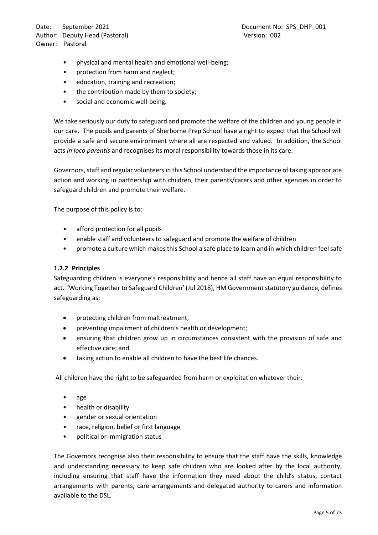Date: September 2021 and the control of the Document No: SPS\_DHP\_001 Author: Deputy Head (Pastoral) and the control of the Version: 002 Owner: Pastoral

- physical and mental health and emotional well-being;
- protection from harm and neglect;
- education, training and recreation;
- the contribution made by them to society;
- social and economic well-being.

We take seriously our duty to safeguard and promote the welfare of the children and young people in our care. The pupils and parents of Sherborne Prep School have a right to expect that the School will provide a safe and secure environment where all are respected and valued. In addition, the School acts *in loco parentis* and recognises its moral responsibility towards those in its care.

Governors, staff and regular volunteers in this School understand the importance of taking appropriate action and working in partnership with children, their parents/carers and other agencies in order to safeguard children and promote their welfare.

The purpose of this policy is to:

- afford protection for all pupils
- enable staff and volunteers to safeguard and promote the welfare of children
- promote a culture which makes this School a safe place to learn and in which children feel safe

#### <span id="page-4-0"></span>**1.2.2 Principles**

Safeguarding children is everyone's responsibility and hence all staff have an equal responsibility to act. 'Working Together to Safeguard Children' (Jul 2018), HM Government statutory guidance, defines safeguarding as:

- protecting children from maltreatment;
- preventing impairment of children's health or development;
- ensuring that children grow up in circumstances consistent with the provision of safe and effective care; and
- taking action to enable all children to have the best life chances.

All children have the right to be safeguarded from harm or exploitation whatever their:

- age
- health or disability
- gender or sexual orientation
- race, religion, belief or first language
- political or immigration status

The Governors recognise also their responsibility to ensure that the staff have the skills, knowledge and understanding necessary to keep safe children who are looked after by the local authority, including ensuring that staff have the information they need about the child's status, contact arrangements with parents, care arrangements and delegated authority to carers and information available to the DSL.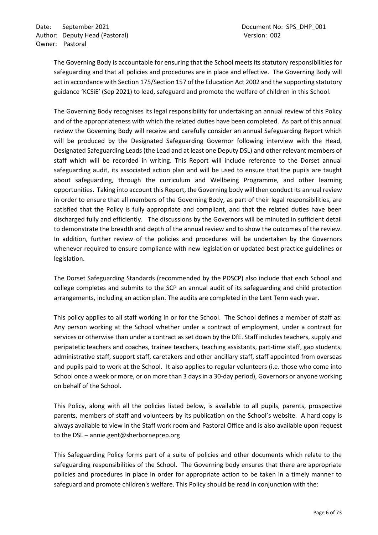The Governing Body is accountable for ensuring that the School meets its statutory responsibilities for safeguarding and that all policies and procedures are in place and effective. The Governing Body will act in accordance with Section 175/Section 157 of the Education Act 2002 and the supporting statutory guidance 'KCSiE' (Sep 2021) to lead, safeguard and promote the welfare of children in this School.

The Governing Body recognises its legal responsibility for undertaking an annual review of this Policy and of the appropriateness with which the related duties have been completed. As part of this annual review the Governing Body will receive and carefully consider an annual Safeguarding Report which will be produced by the Designated Safeguarding Governor following interview with the Head, Designated Safeguarding Leads (the Lead and at least one Deputy DSL) and other relevant members of staff which will be recorded in writing. This Report will include reference to the Dorset annual safeguarding audit, its associated action plan and will be used to ensure that the pupils are taught about safeguarding, through the curriculum and Wellbeing Programme, and other learning opportunities. Taking into account this Report, the Governing body will then conduct its annual review in order to ensure that all members of the Governing Body, as part of their legal responsibilities, are satisfied that the Policy is fully appropriate and compliant, and that the related duties have been discharged fully and efficiently. The discussions by the Governors will be minuted in sufficient detail to demonstrate the breadth and depth of the annual review and to show the outcomes of the review. In addition, further review of the policies and procedures will be undertaken by the Governors whenever required to ensure compliance with new legislation or updated best practice guidelines or legislation.

The Dorset Safeguarding Standards (recommended by the PDSCP) also include that each School and college completes and submits to the SCP an annual audit of its safeguarding and child protection arrangements, including an action plan. The audits are completed in the Lent Term each year.

This policy applies to all staff working in or for the School. The School defines a member of staff as: Any person working at the School whether under a contract of employment, under a contract for services or otherwise than under a contract as set down by the DfE. Staff includes teachers, supply and peripatetic teachers and coaches, trainee teachers, teaching assistants, part-time staff, gap students, administrative staff, support staff, caretakers and other ancillary staff, staff appointed from overseas and pupils paid to work at the School. It also applies to regular volunteers (i.e. those who come into School once a week or more, or on more than 3 days in a 30-day period), Governors or anyone working on behalf of the School.

This Policy, along with all the policies listed below, is available to all pupils, parents, prospective parents, members of staff and volunteers by its publication on the School's website. A hard copy is always available to view in the Staff work room and Pastoral Office and is also available upon request to the DSL – annie.gent@sherborneprep.org

This Safeguarding Policy forms part of a suite of policies and other documents which relate to the safeguarding responsibilities of the School. The Governing body ensures that there are appropriate policies and procedures in place in order for appropriate action to be taken in a timely manner to safeguard and promote children's welfare. This Policy should be read in conjunction with the: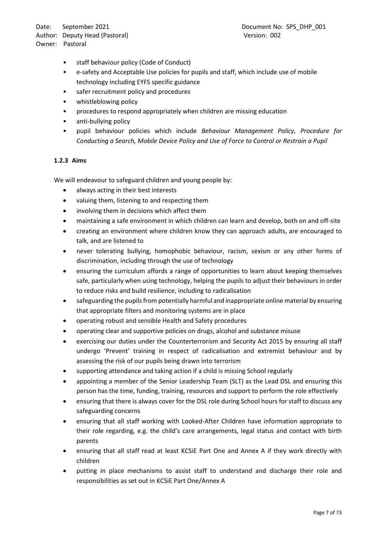Date: September 2021 **Document No: SPS\_DHP\_001** Author: Deputy Head (Pastoral) and the control of the Version: 002 Owner: Pastoral

- staff behaviour policy (Code of Conduct)
- e-safety and Acceptable Use policies for pupils and staff, which include use of mobile technology including EYFS specific guidance
- safer recruitment policy and procedures
- whistleblowing policy
- procedures to respond appropriately when children are missing education
- anti-bullying policy
- pupil behaviour policies which include *Behaviour Management Policy, Procedure for Conducting a Search, Mobile Device Policy and Use of Force to Control or Restrain a Pupil*

#### <span id="page-6-0"></span>**1.2.3 Aims**

We will endeavour to safeguard children and young people by:

- always acting in their best interests
- valuing them, listening to and respecting them
- involving them in decisions which affect them
- maintaining a safe environment in which children can learn and develop, both on and off-site
- creating an environment where children know they can approach adults, are encouraged to talk, and are listened to
- never tolerating bullying, homophobic behaviour, racism, sexism or any other forms of discrimination, including through the use of technology
- ensuring the curriculum affords a range of opportunities to learn about keeping themselves safe, particularly when using technology, helping the pupils to adjust their behaviours in order to reduce risks and build resilience, including to radicalisation
- safeguarding the pupils from potentially harmful and inappropriate online material by ensuring that appropriate filters and monitoring systems are in place
- operating robust and sensible Health and Safety procedures
- operating clear and supportive policies on drugs, alcohol and substance misuse
- exercising our duties under the Counterterrorism and Security Act 2015 by ensuring all staff undergo 'Prevent' training in respect of radicalisation and extremist behaviour and by assessing the risk of our pupils being drawn into terrorism
- supporting attendance and taking action if a child is missing School regularly
- appointing a member of the Senior Leadership Team (SLT) as the Lead DSL and ensuring this person has the time, funding, training, resources and support to perform the role effectively
- ensuring that there is always cover for the DSL role during School hours for staff to discuss any safeguarding concerns
- ensuring that all staff working with Looked-After Children have information appropriate to their role regarding, e.g. the child's care arrangements, legal status and contact with birth parents
- ensuring that all staff read at least KCSiE Part One and Annex A if they work directly with children
- putting in place mechanisms to assist staff to understand and discharge their role and responsibilities as set out in KCSiE Part One/Annex A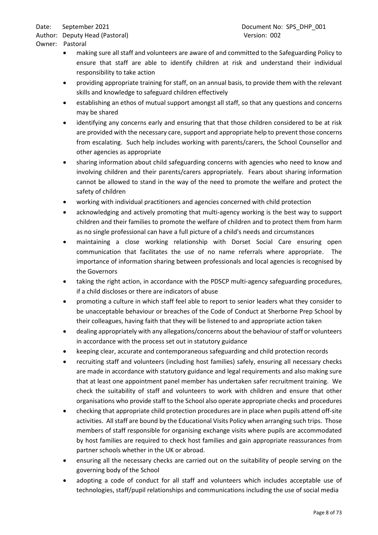Author: Deputy Head (Pastoral) and the control of the Version: 002 Owner: Pastoral

- making sure all staff and volunteers are aware of and committed to the Safeguarding Policy to ensure that staff are able to identify children at risk and understand their individual responsibility to take action
- providing appropriate training for staff, on an annual basis, to provide them with the relevant skills and knowledge to safeguard children effectively
- establishing an ethos of mutual support amongst all staff, so that any questions and concerns may be shared
- identifying any concerns early and ensuring that that those children considered to be at risk are provided with the necessary care, support and appropriate help to prevent those concerns from escalating. Such help includes working with parents/carers, the School Counsellor and other agencies as appropriate
- sharing information about child safeguarding concerns with agencies who need to know and involving children and their parents/carers appropriately. Fears about sharing information cannot be allowed to stand in the way of the need to promote the welfare and protect the safety of children
- working with individual practitioners and agencies concerned with child protection
- acknowledging and actively promoting that multi-agency working is the best way to support children and their families to promote the welfare of children and to protect them from harm as no single professional can have a full picture of a child's needs and circumstances
- maintaining a close working relationship with Dorset Social Care ensuring open communication that facilitates the use of no name referrals where appropriate. The importance of information sharing between professionals and local agencies is recognised by the Governors
- taking the right action, in accordance with the PDSCP multi-agency safeguarding procedures, if a child discloses or there are indicators of abuse
- promoting a culture in which staff feel able to report to senior leaders what they consider to be unacceptable behaviour or breaches of the Code of Conduct at Sherborne Prep School by their colleagues, having faith that they will be listened to and appropriate action taken
- dealing appropriately with any allegations/concerns about the behaviour of staff or volunteers in accordance with the process set out in statutory guidance
- keeping clear, accurate and contemporaneous safeguarding and child protection records
- recruiting staff and volunteers (including host families) safely, ensuring all necessary checks are made in accordance with statutory guidance and legal requirements and also making sure that at least one appointment panel member has undertaken safer recruitment training. We check the suitability of staff and volunteers to work with children and ensure that other organisations who provide staff to the School also operate appropriate checks and procedures
- checking that appropriate child protection procedures are in place when pupils attend off-site activities. All staff are bound by the Educational Visits Policy when arranging such trips. Those members of staff responsible for organising exchange visits where pupils are accommodated by host families are required to check host families and gain appropriate reassurances from partner schools whether in the UK or abroad.
- ensuring all the necessary checks are carried out on the suitability of people serving on the governing body of the School
- adopting a code of conduct for all staff and volunteers which includes acceptable use of technologies, staff/pupil relationships and communications including the use of social media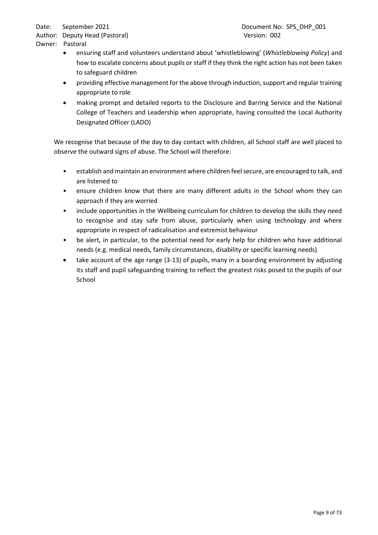Author: Deputy Head (Pastoral) and the control of the Version: 002 Owner: Pastoral

- ensuring staff and volunteers understand about 'whistleblowing' (*Whistleblowing Policy*) and how to escalate concerns about pupils or staff if they think the right action has not been taken to safeguard children
- providing effective management for the above through induction, support and regular training appropriate to role
- making prompt and detailed reports to the Disclosure and Barring Service and the National College of Teachers and Leadership when appropriate, having consulted the Local Authority Designated Officer (LADO)

We recognise that because of the day to day contact with children, all School staff are well placed to observe the outward signs of abuse. The School will therefore:

- establish and maintain an environment where children feel secure, are encouraged to talk, and are listened to
- ensure children know that there are many different adults in the School whom they can approach if they are worried
- include opportunities in the Wellbeing curriculum for children to develop the skills they need to recognise and stay safe from abuse, particularly when using technology and where appropriate in respect of radicalisation and extremist behaviour
- be alert, in particular, to the potential need for early help for children who have additional needs (e.g. medical needs, family circumstances, disability or specific learning needs)
- take account of the age range (3-13) of pupils, many in a boarding environment by adjusting its staff and pupil safeguarding training to reflect the greatest risks posed to the pupils of our School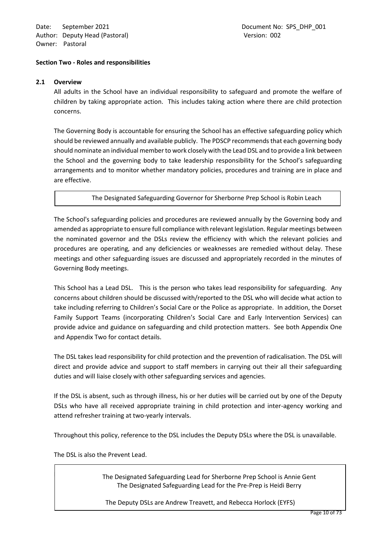Date: September 2021 **Document No: SPS\_DHP\_001** Author: Deputy Head (Pastoral) and the control of the Version: 002 Owner: Pastoral

#### <span id="page-9-0"></span>**Section Two - Roles and responsibilities**

#### <span id="page-9-1"></span>**2.1 Overview**

All adults in the School have an individual responsibility to safeguard and promote the welfare of children by taking appropriate action. This includes taking action where there are child protection concerns.

The Governing Body is accountable for ensuring the School has an effective safeguarding policy which should be reviewed annually and available publicly. The PDSCP recommends that each governing body should nominate an individual member to work closely with the Lead DSL and to provide a link between the School and the governing body to take leadership responsibility for the School's safeguarding arrangements and to monitor whether mandatory policies, procedures and training are in place and are effective.

The Designated Safeguarding Governor for Sherborne Prep School is Robin Leach

The School's safeguarding policies and procedures are reviewed annually by the Governing body and amended as appropriate to ensure full compliance with relevant legislation. Regular meetings between the nominated governor and the DSLs review the efficiency with which the relevant policies and procedures are operating, and any deficiencies or weaknesses are remedied without delay. These meetings and other safeguarding issues are discussed and appropriately recorded in the minutes of Governing Body meetings.

This School has a Lead DSL. This is the person who takes lead responsibility for safeguarding. Any concerns about children should be discussed with/reported to the DSL who will decide what action to take including referring to Children's Social Care or the Police as appropriate. In addition, the Dorset Family Support Teams (incorporating Children's Social Care and Early Intervention Services) can provide advice and guidance on safeguarding and child protection matters. See both Appendix One and Appendix Two for contact details.

The DSL takes lead responsibility for child protection and the prevention of radicalisation. The DSL will direct and provide advice and support to staff members in carrying out their all their safeguarding duties and will liaise closely with other safeguarding services and agencies.

If the DSL is absent, such as through illness, his or her duties will be carried out by one of the Deputy DSLs who have all received appropriate training in child protection and inter-agency working and attend refresher training at two-yearly intervals.

Throughout this policy, reference to the DSL includes the Deputy DSLs where the DSL is unavailable.

The DSL is also the Prevent Lead.

Le Poidevin

The Designated Safeguarding Lead for Sherborne Prep School is Annie Gent The Designated Safeguarding Lead for the Pre-Prep is Heidi Berry

The Deputy DSLs are Andrew Treavett, and Rebecca Horlock (EYFS)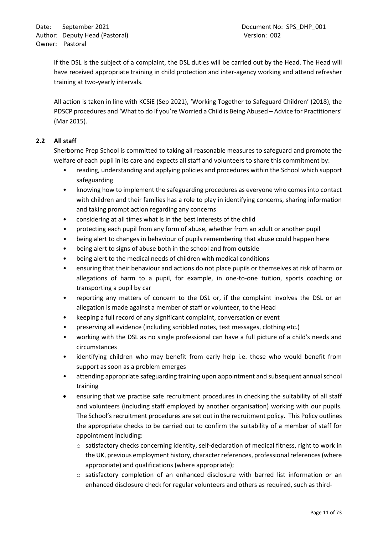If the DSL is the subject of a complaint, the DSL duties will be carried out by the Head. The Head will have received appropriate training in child protection and inter-agency working and attend refresher training at two-yearly intervals.

All action is taken in line with KCSiE (Sep 2021), 'Working Together to Safeguard Children' (2018), the PDSCP procedures and 'What to do if you're Worried a Child is Being Abused – Advice for Practitioners' (Mar 2015).

# <span id="page-10-0"></span>**2.2 All staff**

Sherborne Prep School is committed to taking all reasonable measures to safeguard and promote the welfare of each pupil in its care and expects all staff and volunteers to share this commitment by:

- reading, understanding and applying policies and procedures within the School which support safeguarding
- knowing how to implement the safeguarding procedures as everyone who comes into contact with children and their families has a role to play in identifying concerns, sharing information and taking prompt action regarding any concerns
- considering at all times what is in the best interests of the child
- protecting each pupil from any form of abuse, whether from an adult or another pupil
- being alert to changes in behaviour of pupils remembering that abuse could happen here
- being alert to signs of abuse both in the school and from outside
- being alert to the medical needs of children with medical conditions
- ensuring that their behaviour and actions do not place pupils or themselves at risk of harm or allegations of harm to a pupil, for example, in one-to-one tuition, sports coaching or transporting a pupil by car
- reporting any matters of concern to the DSL or, if the complaint involves the DSL or an allegation is made against a member of staff or volunteer, to the Head
- keeping a full record of any significant complaint, conversation or event
- preserving all evidence (including scribbled notes, text messages, clothing etc.)
- working with the DSL as no single professional can have a full picture of a child's needs and circumstances
- identifying children who may benefit from early help i.e. those who would benefit from support as soon as a problem emerges
- attending appropriate safeguarding training upon appointment and subsequent annual school training
- ensuring that we practise safe recruitment procedures in checking the suitability of all staff and volunteers (including staff employed by another organisation) working with our pupils. The School's recruitment procedures are set out in the recruitment policy. This Policy outlines the appropriate checks to be carried out to confirm the suitability of a member of staff for appointment including:
	- o satisfactory checks concerning identity, self-declaration of medical fitness, right to work in the UK, previous employment history, character references, professional references (where appropriate) and qualifications (where appropriate);
	- $\circ$  satisfactory completion of an enhanced disclosure with barred list information or an enhanced disclosure check for regular volunteers and others as required, such as third-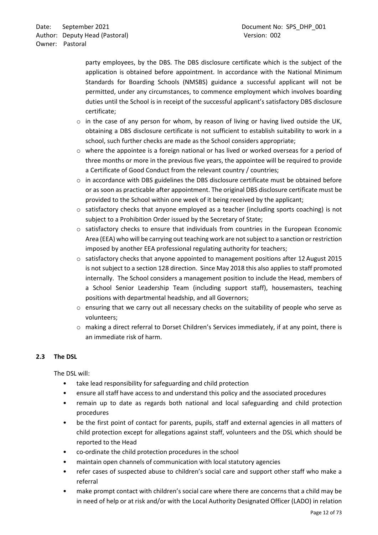party employees, by the DBS. The DBS disclosure certificate which is the subject of the application is obtained before appointment. In accordance with the National Minimum Standards for Boarding Schools (NMSBS) guidance a successful applicant will not be permitted, under any circumstances, to commence employment which involves boarding duties until the School is in receipt of the successful applicant's satisfactory DBS disclosure certificate;

- o in the case of any person for whom, by reason of living or having lived outside the UK, obtaining a DBS disclosure certificate is not sufficient to establish suitability to work in a school, such further checks are made as the School considers appropriate;
- $\circ$  where the appointee is a foreign national or has lived or worked overseas for a period of three months or more in the previous five years, the appointee will be required to provide a Certificate of Good Conduct from the relevant country / countries;
- $\circ$  in accordance with DBS guidelines the DBS disclosure certificate must be obtained before or as soon as practicable after appointment. The original DBS disclosure certificate must be provided to the School within one week of it being received by the applicant;
- $\circ$  satisfactory checks that anyone employed as a teacher (including sports coaching) is not subject to a Prohibition Order issued by the Secretary of State;
- o satisfactory checks to ensure that individuals from countries in the European Economic Area (EEA) who will be carrying out teaching work are not subject to a sanction or restriction imposed by another EEA professional regulating authority for teachers;
- $\circ$  satisfactory checks that anyone appointed to management positions after 12 August 2015 is not subject to a section 128 direction. Since May 2018 this also applies to staff promoted internally. The School considers a management position to include the Head, members of a School Senior Leadership Team (including support staff), housemasters, teaching positions with departmental headship, and all Governors;
- $\circ$  ensuring that we carry out all necessary checks on the suitability of people who serve as volunteers;
- o making a direct referral to Dorset Children's Services immediately, if at any point, there is an immediate risk of harm.

# <span id="page-11-0"></span>**2.3 The DSL**

The DSL will:

- take lead responsibility for safeguarding and child protection
- ensure all staff have access to and understand this policy and the associated procedures
- remain up to date as regards both national and local safeguarding and child protection procedures
- be the first point of contact for parents, pupils, staff and external agencies in all matters of child protection except for allegations against staff, volunteers and the DSL which should be reported to the Head
- co-ordinate the child protection procedures in the school
- maintain open channels of communication with local statutory agencies
- refer cases of suspected abuse to children's social care and support other staff who make a referral
- make prompt contact with children's social care where there are concerns that a child may be in need of help or at risk and/or with the Local Authority Designated Officer (LADO) in relation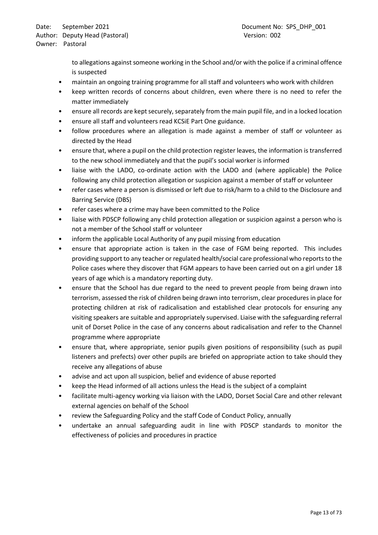to allegations against someone working in the School and/or with the police if a criminal offence is suspected

- maintain an ongoing training programme for all staff and volunteers who work with children
- keep written records of concerns about children, even where there is no need to refer the matter immediately
- ensure all records are kept securely, separately from the main pupil file, and in a locked location
- ensure all staff and volunteers read KCSiE Part One guidance.
- follow procedures where an allegation is made against a member of staff or volunteer as directed by the Head
- ensure that, where a pupil on the child protection register leaves, the information is transferred to the new school immediately and that the pupil's social worker is informed
- liaise with the LADO, co-ordinate action with the LADO and (where applicable) the Police following any child protection allegation or suspicion against a member of staff or volunteer
- refer cases where a person is dismissed or left due to risk/harm to a child to the Disclosure and Barring Service (DBS)
- refer cases where a crime may have been committed to the Police
- liaise with PDSCP following any child protection allegation or suspicion against a person who is not a member of the School staff or volunteer
- inform the applicable Local Authority of any pupil missing from education
- ensure that appropriate action is taken in the case of FGM being reported. This includes providing support to any teacher or regulated health/social care professional who reports to the Police cases where they discover that FGM appears to have been carried out on a girl under 18 years of age which is a mandatory reporting duty.
- ensure that the School has due regard to the need to prevent people from being drawn into terrorism, assessed the risk of children being drawn into terrorism, clear procedures in place for protecting children at risk of radicalisation and established clear protocols for ensuring any visiting speakers are suitable and appropriately supervised. Liaise with the safeguarding referral unit of Dorset Police in the case of any concerns about radicalisation and refer to the Channel programme where appropriate
- ensure that, where appropriate, senior pupils given positions of responsibility (such as pupil listeners and prefects) over other pupils are briefed on appropriate action to take should they receive any allegations of abuse
- advise and act upon all suspicion, belief and evidence of abuse reported
- keep the Head informed of all actions unless the Head is the subject of a complaint
- facilitate multi-agency working via liaison with the LADO, Dorset Social Care and other relevant external agencies on behalf of the School
- review the Safeguarding Policy and the staff Code of Conduct Policy, annually
- undertake an annual safeguarding audit in line with PDSCP standards to monitor the effectiveness of policies and procedures in practice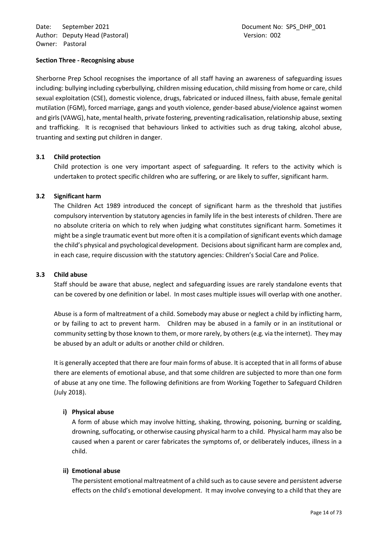## <span id="page-13-0"></span>**Section Three - Recognising abuse**

Sherborne Prep School recognises the importance of all staff having an awareness of safeguarding issues including: bullying including cyberbullying, children missing education, child missing from home or care, child sexual exploitation (CSE), domestic violence, drugs, fabricated or induced illness, faith abuse, female genital mutilation (FGM), forced marriage, gangs and youth violence, gender-based abuse/violence against women and girls (VAWG), hate, mental health, private fostering, preventing radicalisation, relationship abuse, sexting and trafficking. It is recognised that behaviours linked to activities such as drug taking, alcohol abuse, truanting and sexting put children in danger.

## <span id="page-13-1"></span>**3.1 Child protection**

Child protection is one very important aspect of safeguarding. It refers to the activity which is undertaken to protect specific children who are suffering, or are likely to suffer, significant harm.

## <span id="page-13-2"></span>**3.2 Significant harm**

The Children Act 1989 introduced the concept of significant harm as the threshold that justifies compulsory intervention by statutory agencies in family life in the best interests of children. There are no absolute criteria on which to rely when judging what constitutes significant harm. Sometimes it might be a single traumatic event but more often it is a compilation of significant events which damage the child's physical and psychological development. Decisions about significant harm are complex and, in each case, require discussion with the statutory agencies: Children's Social Care and Police.

#### <span id="page-13-3"></span>**3.3 Child abuse**

Staff should be aware that abuse, neglect and safeguarding issues are rarely standalone events that can be covered by one definition or label. In most cases multiple issues will overlap with one another.

Abuse is a form of maltreatment of a child. Somebody may abuse or neglect a child by inflicting harm, or by failing to act to prevent harm. Children may be abused in a family or in an institutional or community setting by those known to them, or more rarely, by others (e.g. via the internet). They may be abused by an adult or adults or another child or children.

It is generally accepted that there are four main forms of abuse. It is accepted that in all forms of abuse there are elements of emotional abuse, and that some children are subjected to more than one form of abuse at any one time. The following definitions are from Working Together to Safeguard Children (July 2018).

# **i) Physical abuse**

A form of abuse which may involve hitting, shaking, throwing, poisoning, burning or scalding, drowning, suffocating, or otherwise causing physical harm to a child. Physical harm may also be caused when a parent or carer fabricates the symptoms of, or deliberately induces, illness in a child.

#### **ii) Emotional abuse**

The persistent emotional maltreatment of a child such as to cause severe and persistent adverse effects on the child's emotional development. It may involve conveying to a child that they are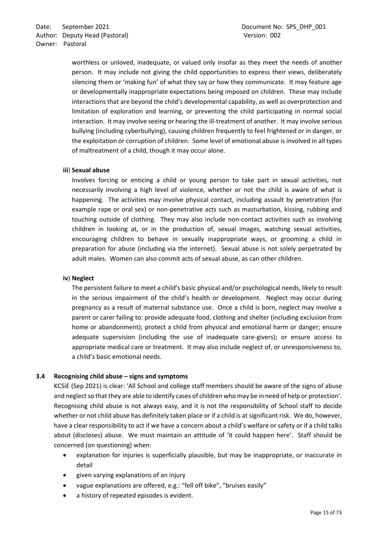worthless or unloved, inadequate, or valued only insofar as they meet the needs of another person. It may include not giving the child opportunities to express their views, deliberately silencing them or 'making fun' of what they say or how they communicate. It may feature age or developmentally inappropriate expectations being imposed on children. These may include interactions that are beyond the child's developmental capability, as well as overprotection and limitation of exploration and learning, or preventing the child participating in normal social interaction. It may involve seeing or hearing the ill-treatment of another. It may involve serious bullying (including cyberbullying), causing children frequently to feel frightened or in danger, or the exploitation or corruption of children. Some level of emotional abuse is involved in all types of maltreatment of a child, though it may occur alone.

## **iii**) **Sexual abuse**

Involves forcing or enticing a child or young person to take part in sexual activities, not necessarily involving a high level of violence, whether or not the child is aware of what is happening. The activities may involve physical contact, including assault by penetration (for example rape or oral sex) or non-penetrative acts such as masturbation, kissing, rubbing and touching outside of clothing. They may also include non-contact activities such as involving children in looking at, or in the production of, sexual images, watching sexual activities, encouraging children to behave in sexually inappropriate ways, or grooming a child in preparation for abuse (including via the internet). Sexual abuse is not solely perpetrated by adult males. Women can also commit acts of sexual abuse, as can other children.

# **iv**) **Neglect**

The persistent failure to meet a child's basic physical and/or psychological needs, likely to result in the serious impairment of the child's health or development. Neglect may occur during pregnancy as a result of maternal substance use. Once a child is born, neglect may involve a parent or carer failing to: provide adequate food, clothing and shelter (including exclusion from home or abandonment); protect a child from physical and emotional harm or danger; ensure adequate supervision (including the use of inadequate care-givers); or ensure access to appropriate medical care or treatment. It may also include neglect of, or unresponsiveness to, a child's basic emotional needs.

# <span id="page-14-0"></span>**3.4 Recognising child abuse – signs and symptoms**

KCSiE (Sep 2021) is clear: 'All School and college staff members should be aware of the signs of abuse and neglect so that they are able to identify cases of children who may be in need of help or protection'. Recognising child abuse is not always easy, and it is not the responsibility of School staff to decide whether or not child abuse has definitely taken place or if a child is at significant risk. We do, however, have a clear responsibility to act if we have a concern about a child's welfare or safety or if a child talks about (discloses) abuse. We must maintain an attitude of 'it could happen here'. Staff should be concerned (on questioning) when:

- explanation for injuries is superficially plausible, but may be inappropriate, or inaccurate in detail
- given varying explanations of an injury
- vague explanations are offered, e.g.: "fell off bike", "bruises easily"
- a history of repeated episodes is evident.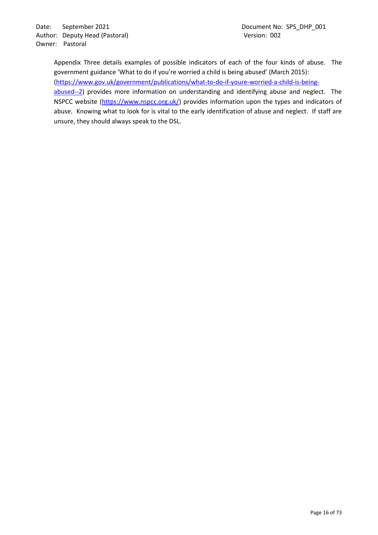Appendix Three details examples of possible indicators of each of the four kinds of abuse. The government guidance 'What to do if you're worried a child is being abused' (March 2015): [\(https://www.gov.uk/government/publications/what-to-do-if-youre-worried-a-child-is-being](https://www.gov.uk/government/publications/what-to-do-if-youre-worried-a-child-is-being-abused--2)[abused--2\)](https://www.gov.uk/government/publications/what-to-do-if-youre-worried-a-child-is-being-abused--2) provides more information on understanding and identifying abuse and neglect. The NSPCC website [\(https://www.nspcc.org.uk/\)](https://www.nspcc.org.uk/) provides information upon the types and indicators of abuse. Knowing what to look for is vital to the early identification of abuse and neglect. If staff are unsure, they should always speak to the DSL.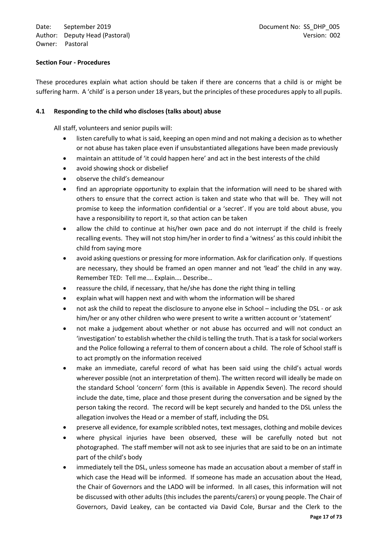## <span id="page-16-0"></span>**Section Four - Procedures**

These procedures explain what action should be taken if there are concerns that a child is or might be suffering harm. A 'child' is a person under 18 years, but the principles of these procedures apply to all pupils.

## <span id="page-16-1"></span>**4.1 Responding to the child who discloses (talks about) abuse**

All staff, volunteers and senior pupils will:

- listen carefully to what is said, keeping an open mind and not making a decision as to whether or not abuse has taken place even if unsubstantiated allegations have been made previously
- maintain an attitude of 'it could happen here' and act in the best interests of the child
- avoid showing shock or disbelief
- observe the child's demeanour
- find an appropriate opportunity to explain that the information will need to be shared with others to ensure that the correct action is taken and state who that will be. They will not promise to keep the information confidential or a 'secret'. If you are told about abuse, you have a responsibility to report it, so that action can be taken
- allow the child to continue at his/her own pace and do not interrupt if the child is freely recalling events. They will not stop him/her in order to find a 'witness' as this could inhibit the child from saying more
- avoid asking questions or pressing for more information. Ask for clarification only. If questions are necessary, they should be framed an open manner and not 'lead' the child in any way. Remember TED: Tell me…. Explain…. Describe…
- reassure the child, if necessary, that he/she has done the right thing in telling
- explain what will happen next and with whom the information will be shared
- not ask the child to repeat the disclosure to anyone else in School including the DSL or ask him/her or any other children who were present to write a written account or 'statement'
- not make a judgement about whether or not abuse has occurred and will not conduct an 'investigation' to establish whether the child is telling the truth. That is a task for social workers and the Police following a referral to them of concern about a child. The role of School staff is to act promptly on the information received
- make an immediate, careful record of what has been said using the child's actual words wherever possible (not an interpretation of them). The written record will ideally be made on the standard School 'concern' form (this is available in Appendix Seven). The record should include the date, time, place and those present during the conversation and be signed by the person taking the record. The record will be kept securely and handed to the DSL unless the allegation involves the Head or a member of staff, including the DSL
- preserve all evidence, for example scribbled notes, text messages, clothing and mobile devices
- where physical injuries have been observed, these will be carefully noted but not photographed. The staff member will not ask to see injuries that are said to be on an intimate part of the child's body
- immediately tell the DSL, unless someone has made an accusation about a member of staff in which case the Head will be informed. If someone has made an accusation about the Head, the Chair of Governors and the LADO will be informed. In all cases, this information will not be discussed with other adults (this includes the parents/carers) or young people. The Chair of Governors, David Leakey, can be contacted via David Cole, Bursar and the Clerk to the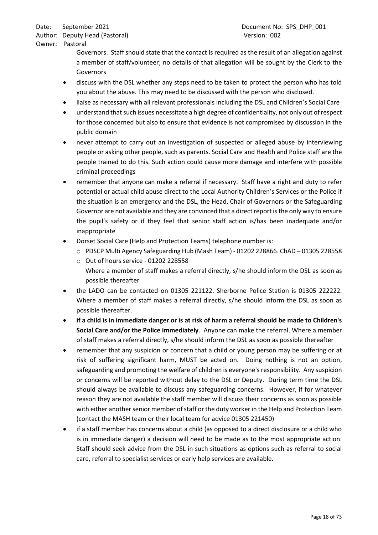Author: Deputy Head (Pastoral) and the control of the Version: 002 Owner: Pastoral

> Governors. Staff should state that the contact is required as the result of an allegation against a member of staff/volunteer; no details of that allegation will be sought by the Clerk to the Governors

- discuss with the DSL whether any steps need to be taken to protect the person who has told you about the abuse. This may need to be discussed with the person who disclosed.
- liaise as necessary with all relevant professionals including the DSL and Children's Social Care
- understand that such issues necessitate a high degree of confidentiality, not only out of respect for those concerned but also to ensure that evidence is not compromised by discussion in the public domain
- never attempt to carry out an investigation of suspected or alleged abuse by interviewing people or asking other people, such as parents. Social Care and Health and Police staff are the people trained to do this. Such action could cause more damage and interfere with possible criminal proceedings
- remember that anyone can make a referral if necessary. Staff have a right and duty to refer potential or actual child abuse direct to the Local Authority Children's Services or the Police if the situation is an emergency and the DSL, the Head, Chair of Governors or the Safeguarding Governor are not available and they are convinced that a direct report is the only way to ensure the pupil's safety or if they feel that senior staff action is/has been inadequate and/or inappropriate
- Dorset Social Care (Help and Protection Teams) telephone number is:
	- o PDSCP Multi Agency Safeguarding Hub (Mash Team) 01202 228866. ChAD 01305 228558
	- o Out of hours service 01202 228558
		- Where a member of staff makes a referral directly, s/he should inform the DSL as soon as possible thereafter
- the LADO can be contacted on 01305 221122. Sherborne Police Station is 01305 222222. Where a member of staff makes a referral directly, s/he should inform the DSL as soon as possible thereafter.
- **if a child is in immediate danger or is at risk of harm a referral should be made to Children's Social Care and/or the Police immediately**. Anyone can make the referral. Where a member of staff makes a referral directly, s/he should inform the DSL as soon as possible thereafter
- remember that any suspicion or concern that a child or young person may be suffering or at risk of suffering significant harm, MUST be acted on. Doing nothing is not an option, safeguarding and promoting the welfare of children is everyone's responsibility. Any suspicion or concerns will be reported without delay to the DSL or Deputy. During term time the DSL should always be available to discuss any safeguarding concerns. However, if for whatever reason they are not available the staff member will discuss their concerns as soon as possible with either another senior member of staff or the duty worker in the Help and Protection Team (contact the MASH team or their local team for advice 01305 221450)
- if a staff member has concerns about a child (as opposed to a direct disclosure or a child who is in immediate danger) a decision will need to be made as to the most appropriate action. Staff should seek advice from the DSL in such situations as options such as referral to social care, referral to specialist services or early help services are available.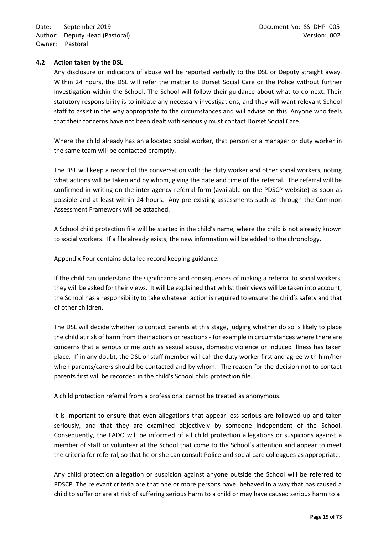## <span id="page-18-0"></span>**4.2 Action taken by the DSL**

Any disclosure or indicators of abuse will be reported verbally to the DSL or Deputy straight away. Within 24 hours, the DSL will refer the matter to Dorset Social Care or the Police without further investigation within the School. The School will follow their guidance about what to do next. Their statutory responsibility is to initiate any necessary investigations, and they will want relevant School staff to assist in the way appropriate to the circumstances and will advise on this. Anyone who feels that their concerns have not been dealt with seriously must contact Dorset Social Care.

Where the child already has an allocated social worker, that person or a manager or duty worker in the same team will be contacted promptly.

The DSL will keep a record of the conversation with the duty worker and other social workers, noting what actions will be taken and by whom, giving the date and time of the referral. The referral will be confirmed in writing on the inter-agency referral form (available on the PDSCP website) as soon as possible and at least within 24 hours. Any pre-existing assessments such as through the Common Assessment Framework will be attached.

A School child protection file will be started in the child's name, where the child is not already known to social workers. If a file already exists, the new information will be added to the chronology.

Appendix Four contains detailed record keeping guidance.

If the child can understand the significance and consequences of making a referral to social workers, they will be asked for their views. It will be explained that whilst their views will be taken into account, the School has a responsibility to take whatever action is required to ensure the child's safety and that of other children.

The DSL will decide whether to contact parents at this stage, judging whether do so is likely to place the child at risk of harm from their actions or reactions - for example in circumstances where there are concerns that a serious crime such as sexual abuse, domestic violence or induced illness has taken place. If in any doubt, the DSL or staff member will call the duty worker first and agree with him/her when parents/carers should be contacted and by whom. The reason for the decision not to contact parents first will be recorded in the child's School child protection file.

A child protection referral from a professional cannot be treated as anonymous.

It is important to ensure that even allegations that appear less serious are followed up and taken seriously, and that they are examined objectively by someone independent of the School. Consequently, the LADO will be informed of all child protection allegations or suspicions against a member of staff or volunteer at the School that come to the School's attention and appear to meet the criteria for referral, so that he or she can consult Police and social care colleagues as appropriate.

Any child protection allegation or suspicion against anyone outside the School will be referred to PDSCP. The relevant criteria are that one or more persons have: behaved in a way that has caused a child to suffer or are at risk of suffering serious harm to a child or may have caused serious harm to a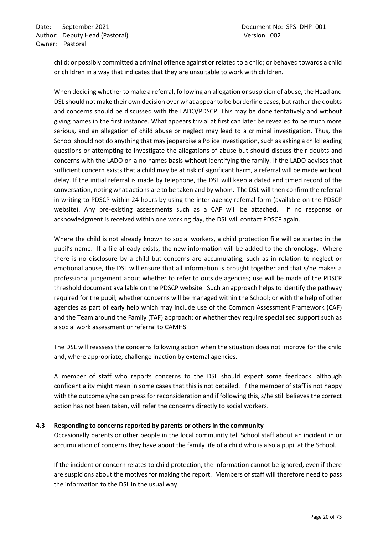child; or possibly committed a criminal offence against or related to a child; or behaved towards a child or children in a way that indicates that they are unsuitable to work with children.

When deciding whether to make a referral, following an allegation or suspicion of abuse, the Head and DSL should not make their own decision over what appear to be borderline cases, but rather the doubts and concerns should be discussed with the LADO/PDSCP. This may be done tentatively and without giving names in the first instance. What appears trivial at first can later be revealed to be much more serious, and an allegation of child abuse or neglect may lead to a criminal investigation. Thus, the School should not do anything that may jeopardise a Police investigation, such as asking a child leading questions or attempting to investigate the allegations of abuse but should discuss their doubts and concerns with the LADO on a no names basis without identifying the family. If the LADO advises that sufficient concern exists that a child may be at risk of significant harm, a referral will be made without delay. If the initial referral is made by telephone, the DSL will keep a dated and timed record of the conversation, noting what actions are to be taken and by whom. The DSL will then confirm the referral in writing to PDSCP within 24 hours by using the inter-agency referral form (available on the PDSCP website). Any pre-existing assessments such as a CAF will be attached. If no response or acknowledgment is received within one working day, the DSL will contact PDSCP again.

Where the child is not already known to social workers, a child protection file will be started in the pupil's name. If a file already exists, the new information will be added to the chronology. Where there is no disclosure by a child but concerns are accumulating, such as in relation to neglect or emotional abuse, the DSL will ensure that all information is brought together and that s/he makes a professional judgement about whether to refer to outside agencies; use will be made of the PDSCP threshold document available on the PDSCP website. Such an approach helps to identify the pathway required for the pupil; whether concerns will be managed within the School; or with the help of other agencies as part of early help which may include use of the Common Assessment Framework (CAF) and the Team around the Family (TAF) approach; or whether they require specialised support such as a social work assessment or referral to CAMHS.

The DSL will reassess the concerns following action when the situation does not improve for the child and, where appropriate, challenge inaction by external agencies.

A member of staff who reports concerns to the DSL should expect some feedback, although confidentiality might mean in some cases that this is not detailed. If the member of staff is not happy with the outcome s/he can press for reconsideration and if following this, s/he still believes the correct action has not been taken, will refer the concerns directly to social workers.

#### <span id="page-19-0"></span>**4.3 Responding to concerns reported by parents or others in the community**

Occasionally parents or other people in the local community tell School staff about an incident in or accumulation of concerns they have about the family life of a child who is also a pupil at the School.

If the incident or concern relates to child protection, the information cannot be ignored, even if there are suspicions about the motives for making the report. Members of staff will therefore need to pass the information to the DSL in the usual way.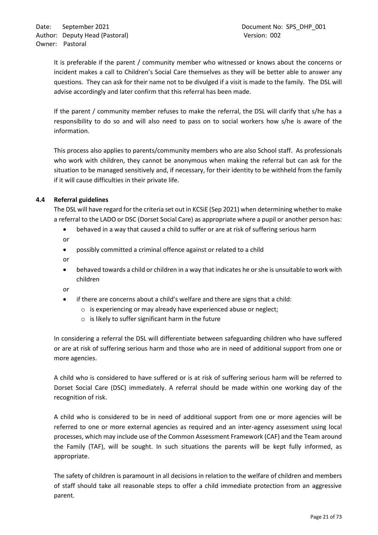It is preferable if the parent / community member who witnessed or knows about the concerns or incident makes a call to Children's Social Care themselves as they will be better able to answer any questions. They can ask for their name not to be divulged if a visit is made to the family. The DSL will advise accordingly and later confirm that this referral has been made.

If the parent / community member refuses to make the referral, the DSL will clarify that s/he has a responsibility to do so and will also need to pass on to social workers how s/he is aware of the information.

This process also applies to parents/community members who are also School staff. As professionals who work with children, they cannot be anonymous when making the referral but can ask for the situation to be managed sensitively and, if necessary, for their identity to be withheld from the family if it will cause difficulties in their private life.

# <span id="page-20-0"></span>**4.4 Referral guidelines**

The DSL will have regard for the criteria set out in KCSiE (Sep 2021) when determining whether to make a referral to the LADO or DSC (Dorset Social Care) as appropriate where a pupil or another person has:

- behaved in a way that caused a child to suffer or are at risk of suffering serious harm
- or
- possibly committed a criminal offence against or related to a child
- or
- behaved towards a child or children in a way that indicates he or she is unsuitable to work with children

or

- if there are concerns about a child's welfare and there are signs that a child:
	- o is experiencing or may already have experienced abuse or neglect;
	- $\circ$  is likely to suffer significant harm in the future

In considering a referral the DSL will differentiate between safeguarding children who have suffered or are at risk of suffering serious harm and those who are in need of additional support from one or more agencies.

A child who is considered to have suffered or is at risk of suffering serious harm will be referred to Dorset Social Care (DSC) immediately. A referral should be made within one working day of the recognition of risk.

A child who is considered to be in need of additional support from one or more agencies will be referred to one or more external agencies as required and an inter-agency assessment using local processes, which may include use of the Common Assessment Framework (CAF) and the Team around the Family (TAF), will be sought. In such situations the parents will be kept fully informed, as appropriate.

The safety of children is paramount in all decisions in relation to the welfare of children and members of staff should take all reasonable steps to offer a child immediate protection from an aggressive parent.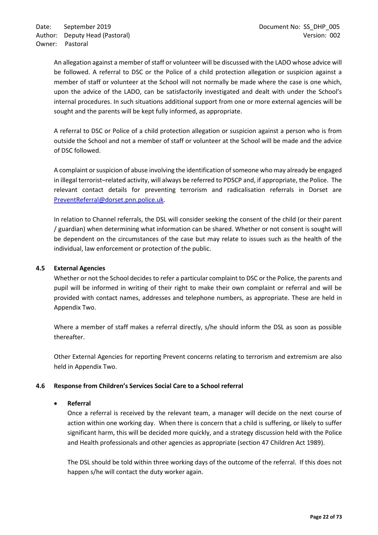An allegation against a member of staff or volunteer will be discussed with the LADO whose advice will be followed. A referral to DSC or the Police of a child protection allegation or suspicion against a member of staff or volunteer at the School will not normally be made where the case is one which, upon the advice of the LADO, can be satisfactorily investigated and dealt with under the School's internal procedures. In such situations additional support from one or more external agencies will be sought and the parents will be kept fully informed, as appropriate.

A referral to DSC or Police of a child protection allegation or suspicion against a person who is from outside the School and not a member of staff or volunteer at the School will be made and the advice of DSC followed.

A complaint or suspicion of abuse involving the identification of someone who may already be engaged in illegal terrorist–related activity, will always be referred to PDSCP and, if appropriate, the Police. The relevant contact details for preventing terrorism and radicalisation referrals in Dorset are [PreventReferral@dorset.pnn.police.uk.](mailto:MASH@dorset.pnn.police.uk)

In relation to Channel referrals, the DSL will consider seeking the consent of the child (or their parent / guardian) when determining what information can be shared. Whether or not consent is sought will be dependent on the circumstances of the case but may relate to issues such as the health of the individual, law enforcement or protection of the public.

#### <span id="page-21-0"></span>**4.5 External Agencies**

Whether or not the School decides to refer a particular complaint to DSC or the Police, the parents and pupil will be informed in writing of their right to make their own complaint or referral and will be provided with contact names, addresses and telephone numbers, as appropriate. These are held in Appendix Two.

Where a member of staff makes a referral directly, s/he should inform the DSL as soon as possible thereafter.

Other External Agencies for reporting Prevent concerns relating to terrorism and extremism are also held in Appendix Two.

#### <span id="page-21-1"></span>**4.6 Response from Children's Services Social Care to a School referral**

#### • **Referral**

Once a referral is received by the relevant team, a manager will decide on the next course of action within one working day. When there is concern that a child is suffering, or likely to suffer significant harm, this will be decided more quickly, and a strategy discussion held with the Police and Health professionals and other agencies as appropriate (section 47 Children Act 1989).

The DSL should be told within three working days of the outcome of the referral. If this does not happen s/he will contact the duty worker again.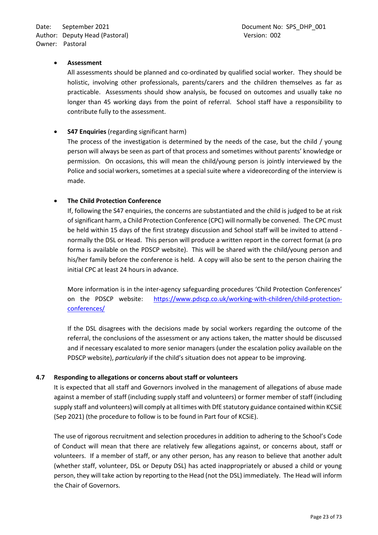## • **Assessment**

All assessments should be planned and co-ordinated by qualified social worker. They should be holistic, involving other professionals, parents/carers and the children themselves as far as practicable. Assessments should show analysis, be focused on outcomes and usually take no longer than 45 working days from the point of referral. School staff have a responsibility to contribute fully to the assessment.

## • **S47 Enquiries** (regarding significant harm)

The process of the investigation is determined by the needs of the case, but the child / young person will always be seen as part of that process and sometimes without parents' knowledge or permission. On occasions, this will mean the child/young person is jointly interviewed by the Police and social workers, sometimes at a special suite where a videorecording of the interview is made.

## • **The Child Protection Conference**

If, following the S47 enquiries, the concerns are substantiated and the child is judged to be at risk of significant harm, a Child Protection Conference (CPC) will normally be convened. The CPC must be held within 15 days of the first strategy discussion and School staff will be invited to attend normally the DSL or Head. This person will produce a written report in the correct format (a pro forma is available on the PDSCP website). This will be shared with the child/young person and his/her family before the conference is held. A copy will also be sent to the person chairing the initial CPC at least 24 hours in advance.

More information is in the inter-agency safeguarding procedures 'Child Protection Conferences' on the PDSCP website: [https://www.pdscp.co.uk/working-with-children/child-protection](https://www.pdscp.co.uk/working-with-children/child-protection-conferences/)[conferences/](https://www.pdscp.co.uk/working-with-children/child-protection-conferences/)

If the DSL disagrees with the decisions made by social workers regarding the outcome of the referral, the conclusions of the assessment or any actions taken, the matter should be discussed and if necessary escalated to more senior managers (under the escalation policy available on the PDSCP website), *particularly* if the child's situation does not appear to be improving.

#### <span id="page-22-0"></span>**4.7 Responding to allegations or concerns about staff or volunteers**

It is expected that all staff and Governors involved in the management of allegations of abuse made against a member of staff (including supply staff and volunteers) or former member of staff (including supply staff and volunteers) will comply at all times with DfE statutory guidance contained within KCSiE (Sep 2021) (the procedure to follow is to be found in Part four of KCSiE).

The use of rigorous recruitment and selection procedures in addition to adhering to the School's Code of Conduct will mean that there are relatively few allegations against, or concerns about, staff or volunteers. If a member of staff, or any other person, has any reason to believe that another adult (whether staff, volunteer, DSL or Deputy DSL) has acted inappropriately or abused a child or young person, they will take action by reporting to the Head (not the DSL) immediately. The Head will inform the Chair of Governors.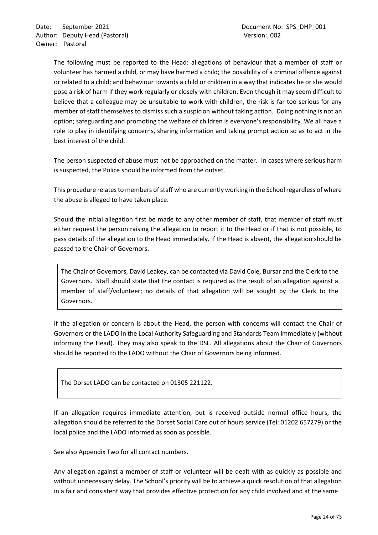The following must be reported to the Head: allegations of behaviour that a member of staff or volunteer has harmed a child, or may have harmed a child; the possibility of a criminal offence against or related to a child; and behaviour towards a child or children in a way that indicates he or she would pose a risk of harm if they work regularly or closely with children. Even though it may seem difficult to believe that a colleague may be unsuitable to work with children, the risk is far too serious for any member of staff themselves to dismiss such a suspicion without taking action. Doing nothing is not an option; safeguarding and promoting the welfare of children is everyone's responsibility. We all have a role to play in identifying concerns, sharing information and taking prompt action so as to act in the best interest of the child.

The person suspected of abuse must not be approached on the matter. In cases where serious harm is suspected, the Police should be informed from the outset.

This procedure relates to members of staff who are currently working in the School regardless of where the abuse is alleged to have taken place.

Should the initial allegation first be made to any other member of staff, that member of staff must either request the person raising the allegation to report it to the Head or if that is not possible, to pass details of the allegation to the Head immediately. If the Head is absent, the allegation should be passed to the Chair of Governors.

The Chair of Governors, David Leakey, can be contacted via David Cole, Bursar and the Clerk to the Governors. Staff should state that the contact is required as the result of an allegation against a member of staff/volunteer; no details of that allegation will be sought by the Clerk to the Governors.

If the allegation or concern is about the Head, the person with concerns will contact the Chair of Governors or the LADO in the Local Authority Safeguarding and Standards Team immediately (without informing the Head). They may also speak to the DSL. All allegations about the Chair of Governors should be reported to the LADO without the Chair of Governors being informed.

The Dorset LADO can be contacted on 01305 221122.

If an allegation requires immediate attention, but is received outside normal office hours, the allegation should be referred to the Dorset Social Care out of hours service (Tel: 01202 657279) or the local police and the LADO informed as soon as possible.

See also Appendix Two for all contact numbers.

Any allegation against a member of staff or volunteer will be dealt with as quickly as possible and without unnecessary delay. The School's priority will be to achieve a quick resolution of that allegation in a fair and consistent way that provides effective protection for any child involved and at the same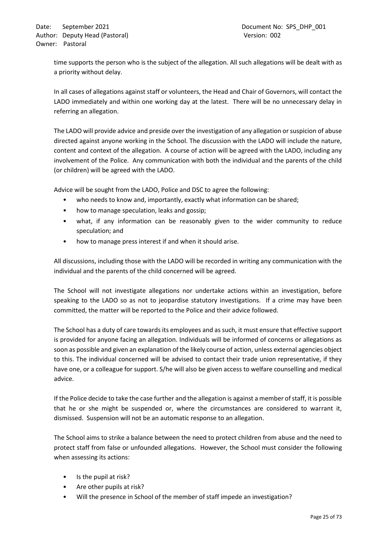time supports the person who is the subject of the allegation. All such allegations will be dealt with as a priority without delay.

In all cases of allegations against staff or volunteers, the Head and Chair of Governors, will contact the LADO immediately and within one working day at the latest. There will be no unnecessary delay in referring an allegation.

The LADO will provide advice and preside over the investigation of any allegation or suspicion of abuse directed against anyone working in the School. The discussion with the LADO will include the nature, content and context of the allegation. A course of action will be agreed with the LADO, including any involvement of the Police. Any communication with both the individual and the parents of the child (or children) will be agreed with the LADO.

Advice will be sought from the LADO, Police and DSC to agree the following:

- who needs to know and, importantly, exactly what information can be shared;
- how to manage speculation, leaks and gossip;
- what, if any information can be reasonably given to the wider community to reduce speculation; and
- how to manage press interest if and when it should arise.

All discussions, including those with the LADO will be recorded in writing any communication with the individual and the parents of the child concerned will be agreed.

The School will not investigate allegations nor undertake actions within an investigation, before speaking to the LADO so as not to jeopardise statutory investigations. If a crime may have been committed, the matter will be reported to the Police and their advice followed.

The School has a duty of care towards its employees and as such, it must ensure that effective support is provided for anyone facing an allegation. Individuals will be informed of concerns or allegations as soon as possible and given an explanation of the likely course of action, unless external agencies object to this. The individual concerned will be advised to contact their trade union representative, if they have one, or a colleague for support. S/he will also be given access to welfare counselling and medical advice.

If the Police decide to take the case further and the allegation is against a member of staff, it is possible that he or she might be suspended or, where the circumstances are considered to warrant it, dismissed. Suspension will not be an automatic response to an allegation.

The School aims to strike a balance between the need to protect children from abuse and the need to protect staff from false or unfounded allegations. However, the School must consider the following when assessing its actions:

- Is the pupil at risk?
- Are other pupils at risk?
- Will the presence in School of the member of staff impede an investigation?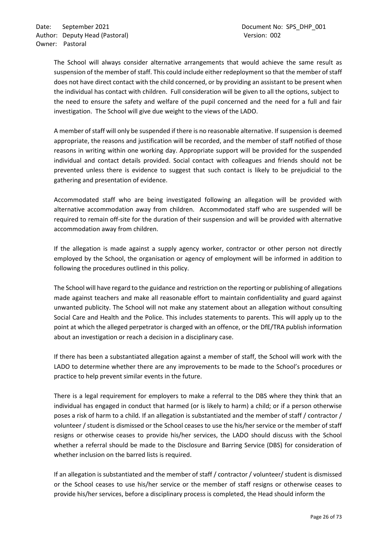The School will always consider alternative arrangements that would achieve the same result as suspension of the member of staff. This could include either redeployment so that the member of staff does not have direct contact with the child concerned, or by providing an assistant to be present when the individual has contact with children. Full consideration will be given to all the options, subject to the need to ensure the safety and welfare of the pupil concerned and the need for a full and fair investigation. The School will give due weight to the views of the LADO.

A member of staff will only be suspended if there is no reasonable alternative. If suspension is deemed appropriate, the reasons and justification will be recorded, and the member of staff notified of those reasons in writing within one working day. Appropriate support will be provided for the suspended individual and contact details provided. Social contact with colleagues and friends should not be prevented unless there is evidence to suggest that such contact is likely to be prejudicial to the gathering and presentation of evidence.

Accommodated staff who are being investigated following an allegation will be provided with alternative accommodation away from children. Accommodated staff who are suspended will be required to remain off-site for the duration of their suspension and will be provided with alternative accommodation away from children.

If the allegation is made against a supply agency worker, contractor or other person not directly employed by the School, the organisation or agency of employment will be informed in addition to following the procedures outlined in this policy.

The School will have regard to the guidance and restriction on the reporting or publishing of allegations made against teachers and make all reasonable effort to maintain confidentiality and guard against unwanted publicity. The School will not make any statement about an allegation without consulting Social Care and Health and the Police. This includes statements to parents. This will apply up to the point at which the alleged perpetrator is charged with an offence, or the DfE/TRA publish information about an investigation or reach a decision in a disciplinary case.

If there has been a substantiated allegation against a member of staff, the School will work with the LADO to determine whether there are any improvements to be made to the School's procedures or practice to help prevent similar events in the future.

There is a legal requirement for employers to make a referral to the DBS where they think that an individual has engaged in conduct that harmed (or is likely to harm) a child; or if a person otherwise poses a risk of harm to a child. If an allegation is substantiated and the member of staff / contractor / volunteer / student is dismissed or the School ceases to use the his/her service or the member of staff resigns or otherwise ceases to provide his/her services, the LADO should discuss with the School whether a referral should be made to the Disclosure and Barring Service (DBS) for consideration of whether inclusion on the barred lists is required.

If an allegation is substantiated and the member of staff / contractor / volunteer/ student is dismissed or the School ceases to use his/her service or the member of staff resigns or otherwise ceases to provide his/her services, before a disciplinary process is completed, the Head should inform the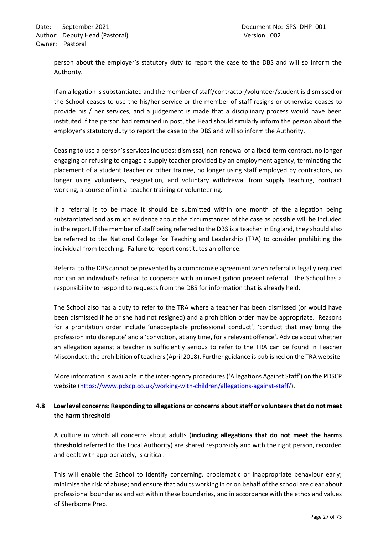person about the employer's statutory duty to report the case to the DBS and will so inform the Authority.

If an allegation is substantiated and the member of staff/contractor/volunteer/student is dismissed or the School ceases to use the his/her service or the member of staff resigns or otherwise ceases to provide his / her services, and a judgement is made that a disciplinary process would have been instituted if the person had remained in post, the Head should similarly inform the person about the employer's statutory duty to report the case to the DBS and will so inform the Authority.

Ceasing to use a person's services includes: dismissal, non-renewal of a fixed-term contract, no longer engaging or refusing to engage a supply teacher provided by an employment agency, terminating the placement of a student teacher or other trainee, no longer using staff employed by contractors, no longer using volunteers, resignation, and voluntary withdrawal from supply teaching, contract working, a course of initial teacher training or volunteering.

If a referral is to be made it should be submitted within one month of the allegation being substantiated and as much evidence about the circumstances of the case as possible will be included in the report. If the member of staff being referred to the DBS is a teacher in England, they should also be referred to the National College for Teaching and Leadership (TRA) to consider prohibiting the individual from teaching. Failure to report constitutes an offence.

Referral to the DBS cannot be prevented by a compromise agreement when referral is legally required nor can an individual's refusal to cooperate with an investigation prevent referral. The School has a responsibility to respond to requests from the DBS for information that is already held.

The School also has a duty to refer to the TRA where a teacher has been dismissed (or would have been dismissed if he or she had not resigned) and a prohibition order may be appropriate. Reasons for a prohibition order include 'unacceptable professional conduct', 'conduct that may bring the profession into disrepute' and a 'conviction, at any time, for a relevant offence'. Advice about whether an allegation against a teacher is sufficiently serious to refer to the TRA can be found in Teacher Misconduct: the prohibition of teachers (April 2018). Further guidance is published on the TRA website.

More information is available in the inter-agency procedures ('Allegations Against Staff') on the PDSCP website [\(https://www.pdscp.co.uk/working-with-children/allegations-against-staff/\)](https://www.pdscp.co.uk/working-with-children/allegations-against-staff/).

# <span id="page-26-0"></span>**4.8 Low level concerns: Responding to allegations or concerns about staff or volunteers that do not meet the harm threshold**

A culture in which all concerns about adults (**including allegations that do not meet the harms threshold** referred to the Local Authority) are shared responsibly and with the right person, recorded and dealt with appropriately, is critical.

This will enable the School to identify concerning, problematic or inappropriate behaviour early; minimise the risk of abuse; and ensure that adults working in or on behalf of the school are clear about professional boundaries and act within these boundaries, and in accordance with the ethos and values of Sherborne Prep.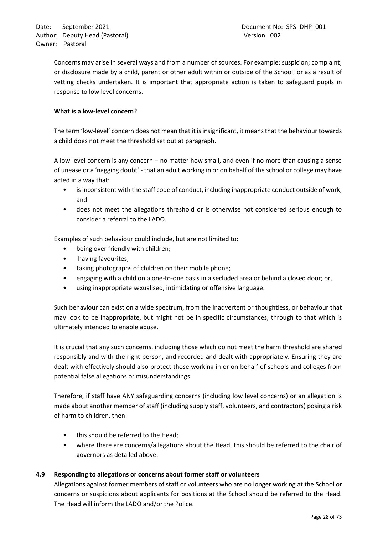Concerns may arise in several ways and from a number of sources. For example: suspicion; complaint; or disclosure made by a child, parent or other adult within or outside of the School; or as a result of vetting checks undertaken. It is important that appropriate action is taken to safeguard pupils in response to low level concerns.

## **What is a low-level concern?**

The term 'low-level' concern does not mean that it is insignificant, it means that the behaviour towards a child does not meet the threshold set out at paragraph.

A low-level concern is any concern – no matter how small, and even if no more than causing a sense of unease or a 'nagging doubt' - that an adult working in or on behalf of the school or college may have acted in a way that:

- is inconsistent with the staff code of conduct, including inappropriate conduct outside of work; and
- does not meet the allegations threshold or is otherwise not considered serious enough to consider a referral to the LADO.

Examples of such behaviour could include, but are not limited to:

- being over friendly with children;
- having favourites;
- taking photographs of children on their mobile phone;
- engaging with a child on a one-to-one basis in a secluded area or behind a closed door; or,
- using inappropriate sexualised, intimidating or offensive language.

Such behaviour can exist on a wide spectrum, from the inadvertent or thoughtless, or behaviour that may look to be inappropriate, but might not be in specific circumstances, through to that which is ultimately intended to enable abuse.

It is crucial that any such concerns, including those which do not meet the harm threshold are shared responsibly and with the right person, and recorded and dealt with appropriately. Ensuring they are dealt with effectively should also protect those working in or on behalf of schools and colleges from potential false allegations or misunderstandings

Therefore, if staff have ANY safeguarding concerns (including low level concerns) or an allegation is made about another member of staff (including supply staff, volunteers, and contractors) posing a risk of harm to children, then:

- this should be referred to the Head;
- where there are concerns/allegations about the Head, this should be referred to the chair of governors as detailed above.

# <span id="page-27-0"></span>**4.9 Responding to allegations or concerns about former staff or volunteers**

Allegations against former members of staff or volunteers who are no longer working at the School or concerns or suspicions about applicants for positions at the School should be referred to the Head. The Head will inform the LADO and/or the Police.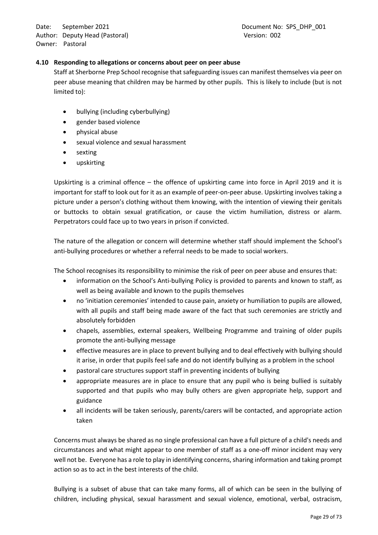## <span id="page-28-0"></span>**4.10 Responding to allegations or concerns about peer on peer abuse**

Staff at Sherborne Prep School recognise that safeguarding issues can manifest themselves via peer on peer abuse meaning that children may be harmed by other pupils. This is likely to include (but is not limited to):

- bullying (including cyberbullying)
- gender based violence
- physical abuse
- sexual violence and sexual harassment
- sexting
- upskirting

Upskirting is a criminal offence – the offence of upskirting came into force in April 2019 and it is important for staff to look out for it as an example of peer-on-peer abuse. Upskirting involves taking a picture under a person's clothing without them knowing, with the intention of viewing their genitals or buttocks to obtain sexual gratification, or cause the victim humiliation, distress or alarm. Perpetrators could face up to two years in prison if convicted.

The nature of the allegation or concern will determine whether staff should implement the School's anti-bullying procedures or whether a referral needs to be made to social workers.

The School recognises its responsibility to minimise the risk of peer on peer abuse and ensures that:

- information on the School's Anti-bullying Policy is provided to parents and known to staff, as well as being available and known to the pupils themselves
- no 'initiation ceremonies' intended to cause pain, anxiety or humiliation to pupils are allowed, with all pupils and staff being made aware of the fact that such ceremonies are strictly and absolutely forbidden
- chapels, assemblies, external speakers, Wellbeing Programme and training of older pupils promote the anti-bullying message
- effective measures are in place to prevent bullying and to deal effectively with bullying should it arise, in order that pupils feel safe and do not identify bullying as a problem in the school
- pastoral care structures support staff in preventing incidents of bullying
- appropriate measures are in place to ensure that any pupil who is being bullied is suitably supported and that pupils who may bully others are given appropriate help, support and guidance
- all incidents will be taken seriously, parents/carers will be contacted, and appropriate action taken

Concerns must always be shared as no single professional can have a full picture of a child's needs and circumstances and what might appear to one member of staff as a one-off minor incident may very well not be. Everyone has a role to play in identifying concerns, sharing information and taking prompt action so as to act in the best interests of the child.

Bullying is a subset of abuse that can take many forms, all of which can be seen in the bullying of children, including physical, sexual harassment and sexual violence, emotional, verbal, ostracism,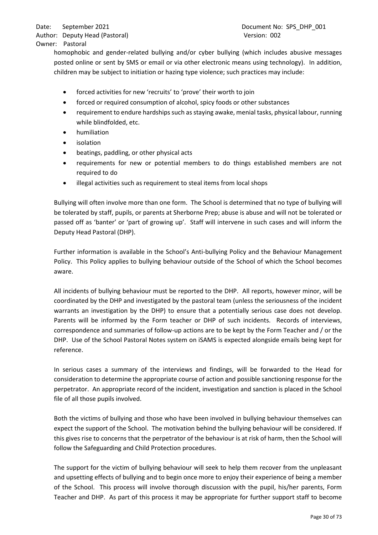homophobic and gender-related bullying and/or cyber bullying (which includes abusive messages posted online or sent by SMS or email or via other electronic means using technology). In addition, children may be subject to initiation or hazing type violence; such practices may include:

- forced activities for new 'recruits' to 'prove' their worth to join
- forced or required consumption of alcohol, spicy foods or other substances
- requirement to endure hardships such as staying awake, menial tasks, physical labour, running while blindfolded, etc.
- humiliation
- **isolation**
- beatings, paddling, or other physical acts
- requirements for new or potential members to do things established members are not required to do
- illegal activities such as requirement to steal items from local shops

Bullying will often involve more than one form. The School is determined that no type of bullying will be tolerated by staff, pupils, or parents at Sherborne Prep; abuse is abuse and will not be tolerated or passed off as 'banter' or 'part of growing up'. Staff will intervene in such cases and will inform the Deputy Head Pastoral (DHP).

Further information is available in the School's Anti-bullying Policy and the Behaviour Management Policy. This Policy applies to bullying behaviour outside of the School of which the School becomes aware.

All incidents of bullying behaviour must be reported to the DHP. All reports, however minor, will be coordinated by the DHP and investigated by the pastoral team (unless the seriousness of the incident warrants an investigation by the DHP) to ensure that a potentially serious case does not develop. Parents will be informed by the Form teacher or DHP of such incidents. Records of interviews, correspondence and summaries of follow-up actions are to be kept by the Form Teacher and / or the DHP. Use of the School Pastoral Notes system on iSAMS is expected alongside emails being kept for reference.

In serious cases a summary of the interviews and findings, will be forwarded to the Head for consideration to determine the appropriate course of action and possible sanctioning response for the perpetrator. An appropriate record of the incident, investigation and sanction is placed in the School file of all those pupils involved.

Both the victims of bullying and those who have been involved in bullying behaviour themselves can expect the support of the School. The motivation behind the bullying behaviour will be considered. If this gives rise to concerns that the perpetrator of the behaviour is at risk of harm, then the School will follow the Safeguarding and Child Protection procedures.

The support for the victim of bullying behaviour will seek to help them recover from the unpleasant and upsetting effects of bullying and to begin once more to enjoy their experience of being a member of the School. This process will involve thorough discussion with the pupil, his/her parents, Form Teacher and DHP. As part of this process it may be appropriate for further support staff to become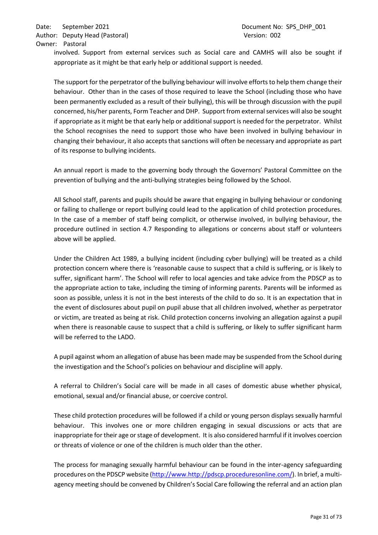involved. Support from external services such as Social care and CAMHS will also be sought if appropriate as it might be that early help or additional support is needed.

The support for the perpetrator of the bullying behaviour will involve efforts to help them change their behaviour. Other than in the cases of those required to leave the School (including those who have been permanently excluded as a result of their bullying), this will be through discussion with the pupil concerned, his/her parents, Form Teacher and DHP. Support from external services will also be sought if appropriate as it might be that early help or additional support is needed for the perpetrator. Whilst the School recognises the need to support those who have been involved in bullying behaviour in changing their behaviour, it also accepts that sanctions will often be necessary and appropriate as part of its response to bullying incidents.

An annual report is made to the governing body through the Governors' Pastoral Committee on the prevention of bullying and the anti-bullying strategies being followed by the School.

All School staff, parents and pupils should be aware that engaging in bullying behaviour or condoning or failing to challenge or report bullying could lead to the application of child protection procedures. In the case of a member of staff being complicit, or otherwise involved, in bullying behaviour, the procedure outlined in section 4.7 Responding to allegations or concerns about staff or volunteers above will be applied.

Under the Children Act 1989, a bullying incident (including cyber bullying) will be treated as a child protection concern where there is 'reasonable cause to suspect that a child is suffering, or is likely to suffer, significant harm'. The School will refer to local agencies and take advice from the PDSCP as to the appropriate action to take, including the timing of informing parents. Parents will be informed as soon as possible, unless it is not in the best interests of the child to do so. It is an expectation that in the event of disclosures about pupil on pupil abuse that all children involved, whether as perpetrator or victim, are treated as being at risk. Child protection concerns involving an allegation against a pupil when there is reasonable cause to suspect that a child is suffering, or likely to suffer significant harm will be referred to the LADO.

A pupil against whom an allegation of abuse has been made may be suspended from the School during the investigation and the School's policies on behaviour and discipline will apply.

A referral to Children's Social care will be made in all cases of domestic abuse whether physical, emotional, sexual and/or financial abuse, or coercive control.

These child protection procedures will be followed if a child or young person displays sexually harmful behaviour. This involves one or more children engaging in sexual discussions or acts that are inappropriate for their age or stage of development. It is also considered harmful if it involves coercion or threats of violence or one of the children is much older than the other.

The process for managing sexually harmful behaviour can be found in the inter-agency safeguarding procedures on the PDSCP website (http://www.http://pdscp.proceduresonline.com/). In brief, a multiagency meeting should be convened by Children's Social Care following the referral and an action plan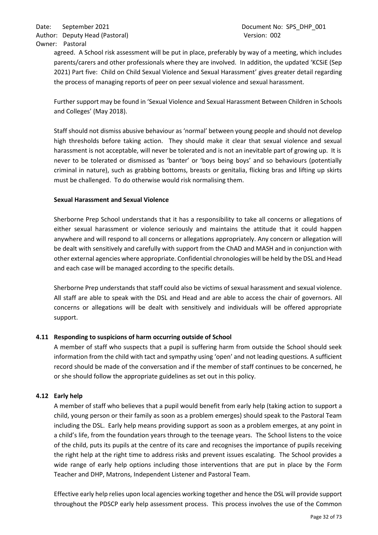agreed. A School risk assessment will be put in place, preferably by way of a meeting, which includes parents/carers and other professionals where they are involved. In addition, the updated 'KCSiE (Sep 2021) Part five: Child on Child Sexual Violence and Sexual Harassment' gives greater detail regarding the process of managing reports of peer on peer sexual violence and sexual harassment.

Further support may be found in 'Sexual Violence and Sexual Harassment Between Children in Schools and Colleges' (May 2018).

Staff should not dismiss abusive behaviour as 'normal' between young people and should not develop high thresholds before taking action. They should make it clear that sexual violence and sexual harassment is not acceptable, will never be tolerated and is not an inevitable part of growing up. It is never to be tolerated or dismissed as 'banter' or 'boys being boys' and so behaviours (potentially criminal in nature), such as grabbing bottoms, breasts or genitalia, flicking bras and lifting up skirts must be challenged. To do otherwise would risk normalising them.

## **Sexual Harassment and Sexual Violence**

Sherborne Prep School understands that it has a responsibility to take all concerns or allegations of either sexual harassment or violence seriously and maintains the attitude that it could happen anywhere and will respond to all concerns or allegations appropriately. Any concern or allegation will be dealt with sensitively and carefully with support from the ChAD and MASH and in conjunction with other external agencies where appropriate. Confidential chronologies will be held by the DSL and Head and each case will be managed according to the specific details.

Sherborne Prep understands that staff could also be victims of sexual harassment and sexual violence. All staff are able to speak with the DSL and Head and are able to access the chair of governors. All concerns or allegations will be dealt with sensitively and individuals will be offered appropriate support.

# <span id="page-31-0"></span>**4.11 Responding to suspicions of harm occurring outside of School**

A member of staff who suspects that a pupil is suffering harm from outside the School should seek information from the child with tact and sympathy using 'open' and not leading questions. A sufficient record should be made of the conversation and if the member of staff continues to be concerned, he or she should follow the appropriate guidelines as set out in this policy.

# <span id="page-31-1"></span>**4.12 Early help**

A member of staff who believes that a pupil would benefit from early help (taking action to support a child, young person or their family as soon as a problem emerges) should speak to the Pastoral Team including the DSL. Early help means providing support as soon as a problem emerges, at any point in a child's life, from the foundation years through to the teenage years. The School listens to the voice of the child, puts its pupils at the centre of its care and recognises the importance of pupils receiving the right help at the right time to address risks and prevent issues escalating. The School provides a wide range of early help options including those interventions that are put in place by the Form Teacher and DHP, Matrons, Independent Listener and Pastoral Team.

Effective early help relies upon local agencies working together and hence the DSL will provide support throughout the PDSCP early help assessment process. This process involves the use of the Common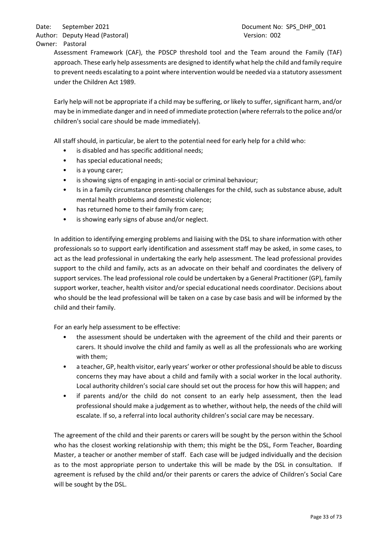Assessment Framework (CAF), the PDSCP threshold tool and the Team around the Family (TAF) approach. These early help assessments are designed to identify what help the child and family require to prevent needs escalating to a point where intervention would be needed via a statutory assessment under the Children Act 1989.

Early help will not be appropriate if a child may be suffering, or likely to suffer, significant harm, and/or may be in immediate danger and in need of immediate protection (where referrals to the police and/or children's social care should be made immediately).

All staff should, in particular, be alert to the potential need for early help for a child who:

- is disabled and has specific additional needs;
- has special educational needs;
- is a young carer;
- is showing signs of engaging in anti-social or criminal behaviour;
- Is in a family circumstance presenting challenges for the child, such as substance abuse, adult mental health problems and domestic violence;
- has returned home to their family from care;
- is showing early signs of abuse and/or neglect.

In addition to identifying emerging problems and liaising with the DSL to share information with other professionals so to support early identification and assessment staff may be asked, in some cases, to act as the lead professional in undertaking the early help assessment. The lead professional provides support to the child and family, acts as an advocate on their behalf and coordinates the delivery of support services. The lead professional role could be undertaken by a General Practitioner (GP), family support worker, teacher, health visitor and/or special educational needs coordinator. Decisions about who should be the lead professional will be taken on a case by case basis and will be informed by the child and their family.

For an early help assessment to be effective:

- the assessment should be undertaken with the agreement of the child and their parents or carers. It should involve the child and family as well as all the professionals who are working with them;
- a teacher, GP, health visitor, early years' worker or other professional should be able to discuss concerns they may have about a child and family with a social worker in the local authority. Local authority children's social care should set out the process for how this will happen; and
- if parents and/or the child do not consent to an early help assessment, then the lead professional should make a judgement as to whether, without help, the needs of the child will escalate. If so, a referral into local authority children's social care may be necessary.

The agreement of the child and their parents or carers will be sought by the person within the School who has the closest working relationship with them; this might be the DSL, Form Teacher, Boarding Master, a teacher or another member of staff. Each case will be judged individually and the decision as to the most appropriate person to undertake this will be made by the DSL in consultation. If agreement is refused by the child and/or their parents or carers the advice of Children's Social Care will be sought by the DSL.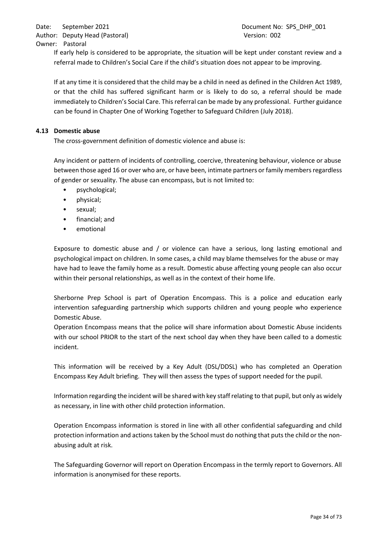If early help is considered to be appropriate, the situation will be kept under constant review and a referral made to Children's Social Care if the child's situation does not appear to be improving.

If at any time it is considered that the child may be a child in need as defined in the Children Act 1989, or that the child has suffered significant harm or is likely to do so, a referral should be made immediately to Children's Social Care. This referral can be made by any professional. Further guidance can be found in Chapter One of Working Together to Safeguard Children (July 2018).

## <span id="page-33-0"></span>**4.13 Domestic abuse**

The cross-government definition of domestic violence and abuse is:

Any incident or pattern of incidents of controlling, coercive, threatening behaviour, violence or abuse between those aged 16 or over who are, or have been, intimate partners or family members regardless of gender or sexuality. The abuse can encompass, but is not limited to:

- psychological;
- physical;
- sexual;
- financial; and
- emotional

Exposure to domestic abuse and / or violence can have a serious, long lasting emotional and psychological impact on children. In some cases, a child may blame themselves for the abuse or may have had to leave the family home as a result. Domestic abuse affecting young people can also occur within their personal relationships, as well as in the context of their home life.

Sherborne Prep School is part of Operation Encompass. This is a police and education early intervention safeguarding partnership which supports children and young people who experience Domestic Abuse.

Operation Encompass means that the police will share information about Domestic Abuse incidents with our school PRIOR to the start of the next school day when they have been called to a domestic incident.

This information will be received by a Key Adult (DSL/DDSL) who has completed an Operation Encompass Key Adult briefing. They will then assess the types of support needed for the pupil.

Information regarding the incident will be shared with key staff relating to that pupil, but only as widely as necessary, in line with other child protection information.

Operation Encompass information is stored in line with all other confidential safeguarding and child protection information and actions taken by the School must do nothing that puts the child or the nonabusing adult at risk.

The Safeguarding Governor will report on Operation Encompass in the termly report to Governors. All information is anonymised for these reports.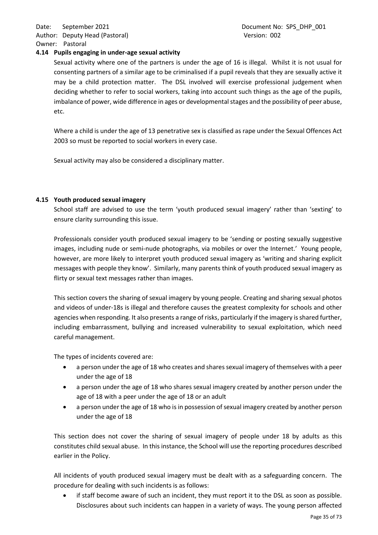## <span id="page-34-0"></span>**4.14 Pupils engaging in under-age sexual activity**

Sexual activity where one of the partners is under the age of 16 is illegal. Whilst it is not usual for consenting partners of a similar age to be criminalised if a pupil reveals that they are sexually active it may be a child protection matter. The DSL involved will exercise professional judgement when deciding whether to refer to social workers, taking into account such things as the age of the pupils, imbalance of power, wide difference in ages or developmental stages and the possibility of peer abuse, etc.

Where a child is under the age of 13 penetrative sex is classified as rape under the Sexual Offences Act 2003 so must be reported to social workers in every case.

Sexual activity may also be considered a disciplinary matter.

#### <span id="page-34-1"></span>**4.15 Youth produced sexual imagery**

School staff are advised to use the term 'youth produced sexual imagery' rather than 'sexting' to ensure clarity surrounding this issue.

Professionals consider youth produced sexual imagery to be 'sending or posting sexually suggestive images, including nude or semi-nude photographs, via mobiles or over the Internet.' Young people, however, are more likely to interpret youth produced sexual imagery as 'writing and sharing explicit messages with people they know'. Similarly, many parents think of youth produced sexual imagery as flirty or sexual text messages rather than images.

This section covers the sharing of sexual imagery by young people. Creating and sharing sexual photos and videos of under-18s is illegal and therefore causes the greatest complexity for schools and other agencies when responding. It also presents a range of risks, particularly if the imagery is shared further, including embarrassment, bullying and increased vulnerability to sexual exploitation, which need careful management.

The types of incidents covered are:

- a person under the age of 18 who creates and shares sexual imagery of themselves with a peer under the age of 18
- a person under the age of 18 who shares sexual imagery created by another person under the age of 18 with a peer under the age of 18 or an adult
- a person under the age of 18 who is in possession of sexual imagery created by another person under the age of 18

This section does not cover the sharing of sexual imagery of people under 18 by adults as this constitutes child sexual abuse. In this instance, the School will use the reporting procedures described earlier in the Policy.

All incidents of youth produced sexual imagery must be dealt with as a safeguarding concern. The procedure for dealing with such incidents is as follows:

• if staff become aware of such an incident, they must report it to the DSL as soon as possible. Disclosures about such incidents can happen in a variety of ways. The young person affected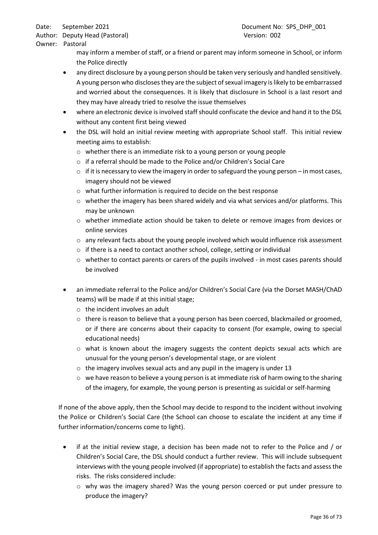Owner: Pastoral

may inform a member of staff, or a friend or parent may inform someone in School, or inform the Police directly

- any direct disclosure by a young person should be taken very seriously and handled sensitively. A young person who discloses they are the subject of sexual imagery is likely to be embarrassed and worried about the consequences. It is likely that disclosure in School is a last resort and they may have already tried to resolve the issue themselves
- where an electronic device is involved staff should confiscate the device and hand it to the DSL without any content first being viewed
- the DSL will hold an initial review meeting with appropriate School staff. This initial review meeting aims to establish:
	- o whether there is an immediate risk to a young person or young people
	- o if a referral should be made to the Police and/or Children's Social Care
	- $\circ$  if it is necessary to view the imagery in order to safeguard the young person in most cases, imagery should not be viewed
	- o what further information is required to decide on the best response
	- $\circ$  whether the imagery has been shared widely and via what services and/or platforms. This may be unknown
	- $\circ$  whether immediate action should be taken to delete or remove images from devices or online services
	- $\circ$  any relevant facts about the young people involved which would influence risk assessment
	- o if there is a need to contact another school, college, setting or individual
	- $\circ$  whether to contact parents or carers of the pupils involved in most cases parents should be involved
- an immediate referral to the Police and/or Children's Social Care (via the Dorset MASH/ChAD teams) will be made if at this initial stage;
	- o the incident involves an adult
	- $\circ$  there is reason to believe that a young person has been coerced, blackmailed or groomed, or if there are concerns about their capacity to consent (for example, owing to special educational needs)
	- $\circ$  what is known about the imagery suggests the content depicts sexual acts which are unusual for the young person's developmental stage, or are violent
	- $\circ$  the imagery involves sexual acts and any pupil in the imagery is under 13
	- $\circ$  we have reason to believe a young person is at immediate risk of harm owing to the sharing of the imagery, for example, the young person is presenting as suicidal or self-harming

If none of the above apply, then the School may decide to respond to the incident without involving the Police or Children's Social Care (the School can choose to escalate the incident at any time if further information/concerns come to light).

- if at the initial review stage, a decision has been made not to refer to the Police and / or Children's Social Care, the DSL should conduct a further review. This will include subsequent interviews with the young people involved (if appropriate) to establish the facts and assess the risks. The risks considered include:
	- $\circ$  why was the imagery shared? Was the young person coerced or put under pressure to produce the imagery?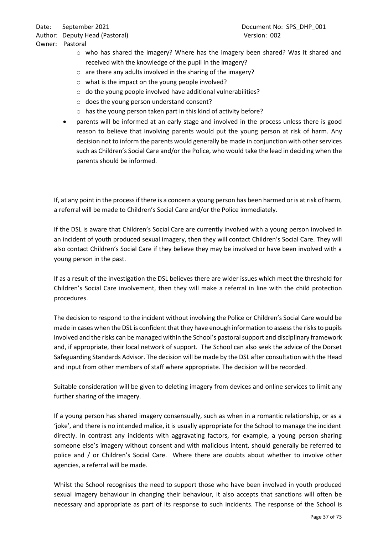Author: Deputy Head (Pastoral) and the control of the Version: 002

Owner: Pastoral

- $\circ$  who has shared the imagery? Where has the imagery been shared? Was it shared and received with the knowledge of the pupil in the imagery?
- o are there any adults involved in the sharing of the imagery?
- o what is the impact on the young people involved?
- o do the young people involved have additional vulnerabilities?
- o does the young person understand consent?
- o has the young person taken part in this kind of activity before?
- parents will be informed at an early stage and involved in the process unless there is good reason to believe that involving parents would put the young person at risk of harm. Any decision not to inform the parents would generally be made in conjunction with other services such as Children's Social Care and/or the Police, who would take the lead in deciding when the parents should be informed.

If, at any point in the process if there is a concern a young person has been harmed or is at risk of harm, a referral will be made to Children's Social Care and/or the Police immediately.

If the DSL is aware that Children's Social Care are currently involved with a young person involved in an incident of youth produced sexual imagery, then they will contact Children's Social Care. They will also contact Children's Social Care if they believe they may be involved or have been involved with a young person in the past.

If as a result of the investigation the DSL believes there are wider issues which meet the threshold for Children's Social Care involvement, then they will make a referral in line with the child protection procedures.

The decision to respond to the incident without involving the Police or Children's Social Care would be made in cases when the DSL is confident that they have enough information to assess the risks to pupils involved and the risks can be managed within the School's pastoral support and disciplinary framework and, if appropriate, their local network of support. The School can also seek the advice of the Dorset Safeguarding Standards Advisor. The decision will be made by the DSL after consultation with the Head and input from other members of staff where appropriate. The decision will be recorded.

Suitable consideration will be given to deleting imagery from devices and online services to limit any further sharing of the imagery.

If a young person has shared imagery consensually, such as when in a romantic relationship, or as a 'joke', and there is no intended malice, it is usually appropriate for the School to manage the incident directly. In contrast any incidents with aggravating factors, for example, a young person sharing someone else's imagery without consent and with malicious intent, should generally be referred to police and / or Children's Social Care. Where there are doubts about whether to involve other agencies, a referral will be made.

Whilst the School recognises the need to support those who have been involved in youth produced sexual imagery behaviour in changing their behaviour, it also accepts that sanctions will often be necessary and appropriate as part of its response to such incidents. The response of the School is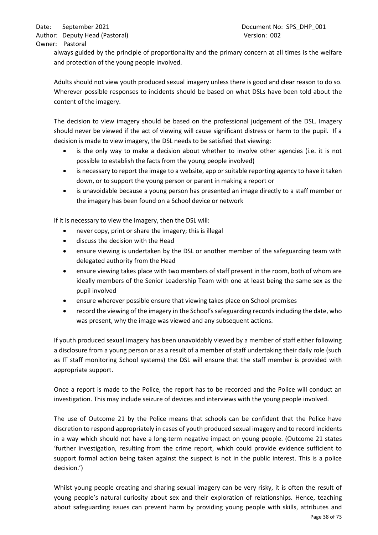always guided by the principle of proportionality and the primary concern at all times is the welfare and protection of the young people involved.

Adults should not view youth produced sexual imagery unless there is good and clear reason to do so. Wherever possible responses to incidents should be based on what DSLs have been told about the content of the imagery.

The decision to view imagery should be based on the professional judgement of the DSL. Imagery should never be viewed if the act of viewing will cause significant distress or harm to the pupil. If a decision is made to view imagery, the DSL needs to be satisfied that viewing:

- is the only way to make a decision about whether to involve other agencies (i.e. it is not possible to establish the facts from the young people involved)
- is necessary to report the image to a website, app or suitable reporting agency to have it taken down, or to support the young person or parent in making a report or
- is unavoidable because a young person has presented an image directly to a staff member or the imagery has been found on a School device or network

If it is necessary to view the imagery, then the DSL will:

- never copy, print or share the imagery; this is illegal
- discuss the decision with the Head
- ensure viewing is undertaken by the DSL or another member of the safeguarding team with delegated authority from the Head
- ensure viewing takes place with two members of staff present in the room, both of whom are ideally members of the Senior Leadership Team with one at least being the same sex as the pupil involved
- ensure wherever possible ensure that viewing takes place on School premises
- record the viewing of the imagery in the School's safeguarding records including the date, who was present, why the image was viewed and any subsequent actions.

If youth produced sexual imagery has been unavoidably viewed by a member of staff either following a disclosure from a young person or as a result of a member of staff undertaking their daily role (such as IT staff monitoring School systems) the DSL will ensure that the staff member is provided with appropriate support.

Once a report is made to the Police, the report has to be recorded and the Police will conduct an investigation. This may include seizure of devices and interviews with the young people involved.

The use of Outcome 21 by the Police means that schools can be confident that the Police have discretion to respond appropriately in cases of youth produced sexual imagery and to record incidents in a way which should not have a long-term negative impact on young people. (Outcome 21 states 'further investigation, resulting from the crime report, which could provide evidence sufficient to support formal action being taken against the suspect is not in the public interest. This is a police decision.')

Page 38 of 73 Whilst young people creating and sharing sexual imagery can be very risky, it is often the result of young people's natural curiosity about sex and their exploration of relationships. Hence, teaching about safeguarding issues can prevent harm by providing young people with skills, attributes and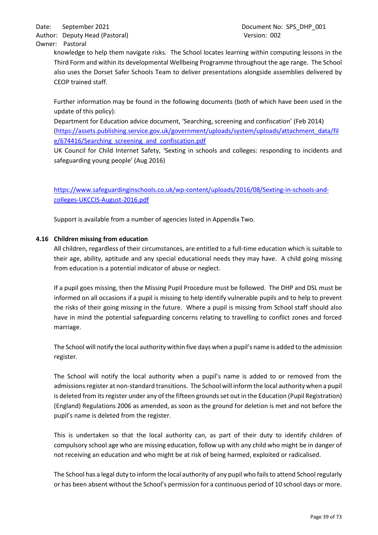knowledge to help them navigate risks. The School locates learning within computing lessons in the Third Form and within its developmental Wellbeing Programme throughout the age range. The School also uses the Dorset Safer Schools Team to deliver presentations alongside assemblies delivered by CEOP trained staff.

Further information may be found in the following documents (both of which have been used in the update of this policy):

Department for Education advice document, 'Searching, screening and confiscation' (Feb 2014) [\(https://assets.publishing.service.gov.uk/government/uploads/system/uploads/attachment\\_data/fil](https://assets.publishing.service.gov.uk/government/uploads/system/uploads/attachment_data/file/674416/Searching_screening_and_confiscation.pdf) [e/674416/Searching\\_screening\\_and\\_confiscation.pdf](https://assets.publishing.service.gov.uk/government/uploads/system/uploads/attachment_data/file/674416/Searching_screening_and_confiscation.pdf)

UK Council for Child Internet Safety, 'Sexting in schools and colleges: responding to incidents and safeguarding young people' (Aug 2016)

[https://www.safeguardinginschools.co.uk/wp-content/uploads/2016/08/Sexting-in-schools-and](https://www.safeguardinginschools.co.uk/wp-content/uploads/2016/08/Sexting-in-schools-and-colleges-UKCCIS-August-2016.pdf)[colleges-UKCCIS-August-2016.pdf](https://www.safeguardinginschools.co.uk/wp-content/uploads/2016/08/Sexting-in-schools-and-colleges-UKCCIS-August-2016.pdf)

Support is available from a number of agencies listed in Appendix Two.

# **4.16 Children missing from education**

All children, regardless of their circumstances, are entitled to a full-time education which is suitable to their age, ability, aptitude and any special educational needs they may have. A child going missing from education is a potential indicator of abuse or neglect.

If a pupil goes missing, then the Missing Pupil Procedure must be followed. The DHP and DSL must be informed on all occasions if a pupil is missing to help identify vulnerable pupils and to help to prevent the risks of their going missing in the future. Where a pupil is missing from School staff should also have in mind the potential safeguarding concerns relating to travelling to conflict zones and forced marriage.

The School will notify the local authority within five days when a pupil's name is added to the admission register.

The School will notify the local authority when a pupil's name is added to or removed from the admissions register at non-standard transitions. The School will inform the local authority when a pupil is deleted from its register under any of the fifteen grounds set out in the Education (Pupil Registration) (England) Regulations 2006 as amended, as soon as the ground for deletion is met and not before the pupil's name is deleted from the register.

This is undertaken so that the local authority can, as part of their duty to identify children of compulsory school age who are missing education, follow up with any child who might be in danger of not receiving an education and who might be at risk of being harmed, exploited or radicalised.

The School has a legal duty to inform the local authority of any pupil who fails to attend Schoolregularly or has been absent without the School's permission for a continuous period of 10 school days or more.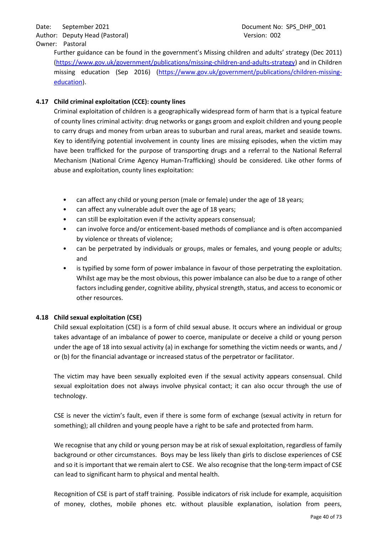# Owner: Pastoral

Further guidance can be found in the government's Missing children and adults' strategy (Dec 2011) [\(https://www.gov.uk/government/publications/missing-children-and-adults-strategy\)](https://www.gov.uk/government/publications/missing-children-and-adults-strategy) and in Children missing education (Sep 2016) [\(https://www.gov.uk/government/publications/children-missing](https://www.gov.uk/government/publications/children-missing-education)[education\)](https://www.gov.uk/government/publications/children-missing-education).

# **4.17 Child criminal exploitation (CCE): county lines**

Criminal exploitation of children is a geographically widespread form of harm that is a typical feature of county lines criminal activity: drug networks or gangs groom and exploit children and young people to carry drugs and money from urban areas to suburban and rural areas, market and seaside towns. Key to identifying potential involvement in county lines are missing episodes, when the victim may have been trafficked for the purpose of transporting drugs and a referral to the National Referral Mechanism (National Crime Agency Human-Trafficking) should be considered. Like other forms of abuse and exploitation, county lines exploitation:

- can affect any child or young person (male or female) under the age of 18 years;
- can affect any vulnerable adult over the age of 18 years;
- can still be exploitation even if the activity appears consensual;
- can involve force and/or enticement-based methods of compliance and is often accompanied by violence or threats of violence;
- can be perpetrated by individuals or groups, males or females, and young people or adults; and
- is typified by some form of power imbalance in favour of those perpetrating the exploitation. Whilst age may be the most obvious, this power imbalance can also be due to a range of other factors including gender, cognitive ability, physical strength, status, and access to economic or other resources.

# **4.18 Child sexual exploitation (CSE)**

Child sexual exploitation (CSE) is a form of child sexual abuse. It occurs where an individual or group takes advantage of an imbalance of power to coerce, manipulate or deceive a child or young person under the age of 18 into sexual activity (a) in exchange for something the victim needs or wants, and / or (b) for the financial advantage or increased status of the perpetrator or facilitator.

The victim may have been sexually exploited even if the sexual activity appears consensual. Child sexual exploitation does not always involve physical contact; it can also occur through the use of technology.

CSE is never the victim's fault, even if there is some form of exchange (sexual activity in return for something); all children and young people have a right to be safe and protected from harm.

We recognise that any child or young person may be at risk of sexual exploitation, regardless of family background or other circumstances. Boys may be less likely than girls to disclose experiences of CSE and so it is important that we remain alert to CSE. We also recognise that the long-term impact of CSE can lead to significant harm to physical and mental health.

Recognition of CSE is part of staff training. Possible indicators of risk include for example, acquisition of money, clothes, mobile phones etc. without plausible explanation, isolation from peers,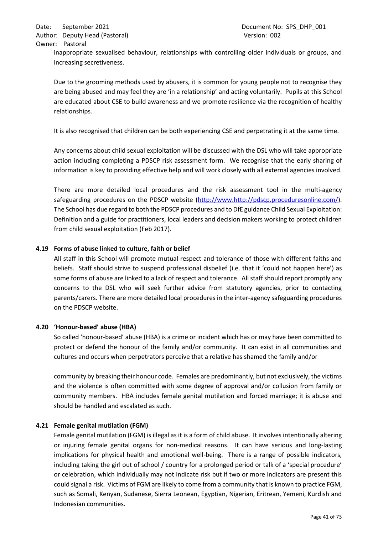inappropriate sexualised behaviour, relationships with controlling older individuals or groups, and increasing secretiveness.

Due to the grooming methods used by abusers, it is common for young people not to recognise they are being abused and may feel they are 'in a relationship' and acting voluntarily. Pupils at this School are educated about CSE to build awareness and we promote resilience via the recognition of healthy relationships.

It is also recognised that children can be both experiencing CSE and perpetrating it at the same time.

Any concerns about child sexual exploitation will be discussed with the DSL who will take appropriate action including completing a PDSCP risk assessment form. We recognise that the early sharing of information is key to providing effective help and will work closely with all external agencies involved.

There are more detailed local procedures and the risk assessment tool in the multi-agency safeguarding procedures on the PDSCP website (http://www.http://pdscp.proceduresonline.com/). The School has due regard to both the PDSCP procedures and to DfE guidance Child Sexual Exploitation: Definition and a guide for practitioners, local leaders and decision makers working to protect children from child sexual exploitation (Feb 2017).

### **4.19 Forms of abuse linked to culture, faith or belief**

All staff in this School will promote mutual respect and tolerance of those with different faiths and beliefs. Staff should strive to suspend professional disbelief (i.e. that it 'could not happen here') as some forms of abuse are linked to a lack of respect and tolerance. All staff should report promptly any concerns to the DSL who will seek further advice from statutory agencies, prior to contacting parents/carers. There are more detailed local procedures in the inter-agency safeguarding procedures on the PDSCP website.

### **4.20 'Honour-based' abuse (HBA)**

So called 'honour-based' abuse (HBA) is a crime or incident which has or may have been committed to protect or defend the honour of the family and/or community. It can exist in all communities and cultures and occurs when perpetrators perceive that a relative has shamed the family and/or

community by breaking their honour code. Females are predominantly, but not exclusively, the victims and the violence is often committed with some degree of approval and/or collusion from family or community members. HBA includes female genital mutilation and forced marriage; it is abuse and should be handled and escalated as such.

### **4.21 Female genital mutilation (FGM)**

Female genital mutilation (FGM) is illegal as it is a form of child abuse. It involves intentionally altering or injuring female genital organs for non-medical reasons. It can have serious and long-lasting implications for physical health and emotional well-being. There is a range of possible indicators, including taking the girl out of school / country for a prolonged period or talk of a 'special procedure' or celebration, which individually may not indicate risk but if two or more indicators are present this could signal a risk. Victims of FGM are likely to come from a community that is known to practice FGM, such as Somali, Kenyan, Sudanese, Sierra Leonean, Egyptian, Nigerian, Eritrean, Yemeni, Kurdish and Indonesian communities.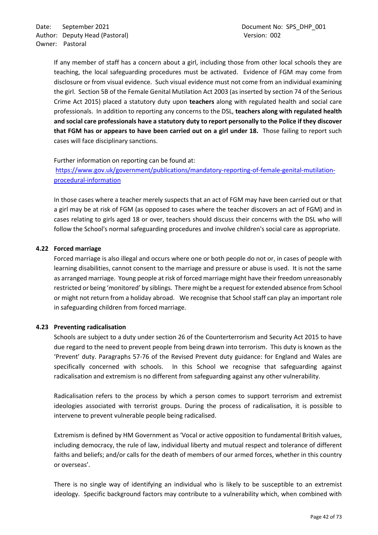If any member of staff has a concern about a girl, including those from other local schools they are teaching, the local safeguarding procedures must be activated. Evidence of FGM may come from disclosure or from visual evidence. Such visual evidence must not come from an individual examining the girl. Section 5B of the Female Genital Mutilation Act 2003 (as inserted by section 74 of the Serious Crime Act 2015) placed a statutory duty upon **teachers** along with regulated health and social care professionals. In addition to reporting any concerns to the DSL, **teachers along with regulated health and social care professionals have a statutory duty to report personally to the Police if they discover that FGM has or appears to have been carried out on a girl under 18.** Those failing to report such cases will face disciplinary sanctions.

### Further information on reporting can be found at:

[https://www.gov.uk/government/publications/mandatory-reporting-of-female-genital-mutilation](https://www.gov.uk/government/publications/mandatory-reporting-of-female-genital-mutilation-procedural-information)[procedural-information](https://www.gov.uk/government/publications/mandatory-reporting-of-female-genital-mutilation-procedural-information)

In those cases where a teacher merely suspects that an act of FGM may have been carried out or that a girl may be at risk of FGM (as opposed to cases where the teacher discovers an act of FGM) and in cases relating to girls aged 18 or over, teachers should discuss their concerns with the DSL who will follow the School's normal safeguarding procedures and involve children's social care as appropriate.

### **4.22 Forced marriage**

Forced marriage is also illegal and occurs where one or both people do not or, in cases of people with learning disabilities, cannot consent to the marriage and pressure or abuse is used. It is not the same as arranged marriage. Young people at risk of forced marriage might have their freedom unreasonably restricted or being 'monitored' by siblings. There might be a request for extended absence from School or might not return from a holiday abroad. We recognise that School staff can play an important role in safeguarding children from forced marriage.

### **4.23 Preventing radicalisation**

Schools are subject to a duty under section 26 of the Counterterrorism and Security Act 2015 to have due regard to the need to prevent people from being drawn into terrorism. This duty is known as the 'Prevent' duty. Paragraphs 57-76 of the Revised Prevent duty guidance: for England and Wales are specifically concerned with schools. In this School we recognise that safeguarding against radicalisation and extremism is no different from safeguarding against any other vulnerability.

Radicalisation refers to the process by which a person comes to support terrorism and extremist ideologies associated with terrorist groups. During the process of radicalisation, it is possible to intervene to prevent vulnerable people being radicalised.

Extremism is defined by HM Government as 'Vocal or active opposition to fundamental British values, including democracy, the rule of law, individual liberty and mutual respect and tolerance of different faiths and beliefs; and/or calls for the death of members of our armed forces, whether in this country or overseas'.

There is no single way of identifying an individual who is likely to be susceptible to an extremist ideology. Specific background factors may contribute to a vulnerability which, when combined with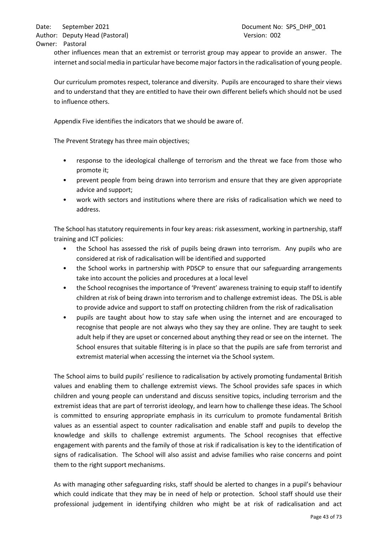other influences mean that an extremist or terrorist group may appear to provide an answer. The internet and social media in particular have become major factors in the radicalisation of young people.

Our curriculum promotes respect, tolerance and diversity. Pupils are encouraged to share their views and to understand that they are entitled to have their own different beliefs which should not be used to influence others.

Appendix Five identifies the indicators that we should be aware of.

The Prevent Strategy has three main objectives;

- response to the ideological challenge of terrorism and the threat we face from those who promote it;
- prevent people from being drawn into terrorism and ensure that they are given appropriate advice and support;
- work with sectors and institutions where there are risks of radicalisation which we need to address.

The School has statutory requirements in four key areas: risk assessment, working in partnership, staff training and ICT policies:

- the School has assessed the risk of pupils being drawn into terrorism. Any pupils who are considered at risk of radicalisation will be identified and supported
- the School works in partnership with PDSCP to ensure that our safeguarding arrangements take into account the policies and procedures at a local level
- the School recognises the importance of 'Prevent' awareness training to equip staff to identify children at risk of being drawn into terrorism and to challenge extremist ideas. The DSL is able to provide advice and support to staff on protecting children from the risk of radicalisation
- pupils are taught about how to stay safe when using the internet and are encouraged to recognise that people are not always who they say they are online. They are taught to seek adult help if they are upset or concerned about anything they read or see on the internet. The School ensures that suitable filtering is in place so that the pupils are safe from terrorist and extremist material when accessing the internet via the School system.

The School aims to build pupils' resilience to radicalisation by actively promoting fundamental British values and enabling them to challenge extremist views. The School provides safe spaces in which children and young people can understand and discuss sensitive topics, including terrorism and the extremist ideas that are part of terrorist ideology, and learn how to challenge these ideas. The School is committed to ensuring appropriate emphasis in its curriculum to promote fundamental British values as an essential aspect to counter radicalisation and enable staff and pupils to develop the knowledge and skills to challenge extremist arguments. The School recognises that effective engagement with parents and the family of those at risk if radicalisation is key to the identification of signs of radicalisation. The School will also assist and advise families who raise concerns and point them to the right support mechanisms.

As with managing other safeguarding risks, staff should be alerted to changes in a pupil's behaviour which could indicate that they may be in need of help or protection. School staff should use their professional judgement in identifying children who might be at risk of radicalisation and act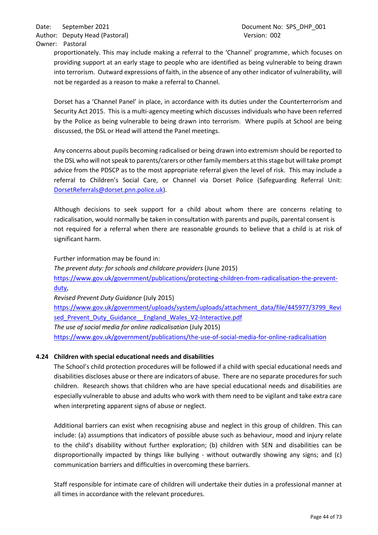proportionately. This may include making a referral to the 'Channel' programme, which focuses on providing support at an early stage to people who are identified as being vulnerable to being drawn into terrorism. Outward expressions of faith, in the absence of any other indicator of vulnerability, will not be regarded as a reason to make a referral to Channel.

Dorset has a 'Channel Panel' in place, in accordance with its duties under the Counterterrorism and Security Act 2015. This is a multi-agency meeting which discusses individuals who have been referred by the Police as being vulnerable to being drawn into terrorism. Where pupils at School are being discussed, the DSL or Head will attend the Panel meetings.

Any concerns about pupils becoming radicalised or being drawn into extremism should be reported to the DSL who will not speak to parents/carers or other family members at this stage but will take prompt advice from the PDSCP as to the most appropriate referral given the level of risk. This may include a referral to Children's Social Care, or Channel via Dorset Police (Safeguarding Referral Unit: [DorsetReferrals@dorset.pnn.police.uk\)](mailto:DorsetReferrals@dorset.pnn.police.uk).

Although decisions to seek support for a child about whom there are concerns relating to radicalisation, would normally be taken in consultation with parents and pupils, parental consent is not required for a referral when there are reasonable grounds to believe that a child is at risk of significant harm.

Further information may be found in:

*The prevent duty: for schools and childcare providers* (June 2015) [https://www.gov.uk/government/publications/protecting-children-from-radicalisation-the-prevent](https://www.gov.uk/government/publications/protecting-children-from-radicalisation-the-prevent-duty)[duty,](https://www.gov.uk/government/publications/protecting-children-from-radicalisation-the-prevent-duty)

*Revised Prevent Duty Guidance* (July 2015)

[https://www.gov.uk/government/uploads/system/uploads/attachment\\_data/file/445977/3799\\_Revi](https://www.gov.uk/government/uploads/system/uploads/attachment_data/file/445977/3799_Revised_Prevent_Duty_Guidance__England_Wales_V2-Interactive.pdf) sed Prevent Duty Guidance England Wales V2-Interactive.pdf *The use of social media for online radicalisation* (July 2015) <https://www.gov.uk/government/publications/the-use-of-social-media-for-online-radicalisation>

# **4.24 Children with special educational needs and disabilities**

The School's child protection procedures will be followed if a child with special educational needs and disabilities discloses abuse or there are indicators of abuse. There are no separate procedures for such children. Research shows that children who are have special educational needs and disabilities are especially vulnerable to abuse and adults who work with them need to be vigilant and take extra care when interpreting apparent signs of abuse or neglect.

Additional barriers can exist when recognising abuse and neglect in this group of children. This can include: (a) assumptions that indicators of possible abuse such as behaviour, mood and injury relate to the child's disability without further exploration; (b) children with SEN and disabilities can be disproportionally impacted by things like bullying - without outwardly showing any signs; and (c) communication barriers and difficulties in overcoming these barriers.

Staff responsible for intimate care of children will undertake their duties in a professional manner at all times in accordance with the relevant procedures.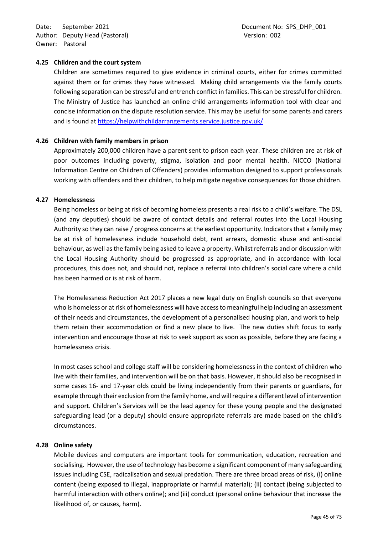Date: September 2021 **Document No: SPS\_DHP\_001** Author: Deputy Head (Pastoral) and the control of the Version: 002 Owner: Pastoral

#### **4.25 Children and the court system**

Children are sometimes required to give evidence in criminal courts, either for crimes committed against them or for crimes they have witnessed. Making child arrangements via the family courts following separation can be stressful and entrench conflict in families. This can be stressful for children. The Ministry of Justice has launched an online child arrangements information tool with clear and concise information on the dispute resolution service. This may be useful for some parents and carers and is found at<https://helpwithchildarrangements.service.justice.gov.uk/>

#### **4.26 Children with family members in prison**

Approximately 200,000 children have a parent sent to prison each year. These children are at risk of poor outcomes including poverty, stigma, isolation and poor mental health. NICCO (National Information Centre on Children of Offenders) provides information designed to support professionals working with offenders and their children, to help mitigate negative consequences for those children.

#### **4.27 Homelessness**

Being homeless or being at risk of becoming homeless presents a real risk to a child's welfare. The DSL (and any deputies) should be aware of contact details and referral routes into the Local Housing Authority so they can raise / progress concerns at the earliest opportunity. Indicators that a family may be at risk of homelessness include household debt, rent arrears, domestic abuse and anti-social behaviour, as well as the family being asked to leave a property. Whilst referrals and or discussion with the Local Housing Authority should be progressed as appropriate, and in accordance with local procedures, this does not, and should not, replace a referral into children's social care where a child has been harmed or is at risk of harm.

The Homelessness Reduction Act 2017 places a new legal duty on English councils so that everyone who is homeless or at risk of homelessness will have access to meaningful help including an assessment of their needs and circumstances, the development of a personalised housing plan, and work to help them retain their accommodation or find a new place to live. The new duties shift focus to early intervention and encourage those at risk to seek support as soon as possible, before they are facing a homelessness crisis.

In most cases school and college staff will be considering homelessness in the context of children who live with their families, and intervention will be on that basis. However, it should also be recognised in some cases 16- and 17-year olds could be living independently from their parents or guardians, for example through their exclusion from the family home, and will require a different level of intervention and support. Children's Services will be the lead agency for these young people and the designated safeguarding lead (or a deputy) should ensure appropriate referrals are made based on the child's circumstances.

### **4.28 Online safety**

Mobile devices and computers are important tools for communication, education, recreation and socialising. However, the use of technology has become a significant component of many safeguarding issues including CSE, radicalisation and sexual predation. There are three broad areas of risk, (i) online content (being exposed to illegal, inappropriate or harmful material); (ii) contact (being subjected to harmful interaction with others online); and (iii) conduct (personal online behaviour that increase the likelihood of, or causes, harm).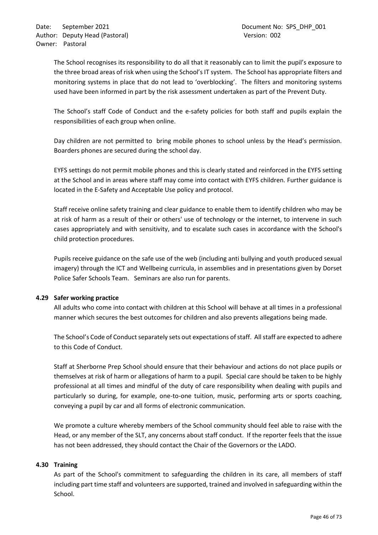The School recognises its responsibility to do all that it reasonably can to limit the pupil's exposure to the three broad areas of risk when using the School's IT system. The School has appropriate filters and monitoring systems in place that do not lead to 'overblocking'. The filters and monitoring systems used have been informed in part by the risk assessment undertaken as part of the Prevent Duty.

The School's staff Code of Conduct and the e-safety policies for both staff and pupils explain the responsibilities of each group when online.

Day children are not permitted to bring mobile phones to school unless by the Head's permission. Boarders phones are secured during the school day.

EYFS settings do not permit mobile phones and this is clearly stated and reinforced in the EYFS setting at the School and in areas where staff may come into contact with EYFS children. Further guidance is located in the E-Safety and Acceptable Use policy and protocol.

Staff receive online safety training and clear guidance to enable them to identify children who may be at risk of harm as a result of their or others' use of technology or the internet, to intervene in such cases appropriately and with sensitivity, and to escalate such cases in accordance with the School's child protection procedures.

Pupils receive guidance on the safe use of the web (including anti bullying and youth produced sexual imagery) through the ICT and Wellbeing curricula, in assemblies and in presentations given by Dorset Police Safer Schools Team. Seminars are also run for parents.

# **4.29 Safer working practice**

All adults who come into contact with children at this School will behave at all times in a professional manner which secures the best outcomes for children and also prevents allegations being made.

The School's Code of Conduct separately sets out expectations of staff. All staff are expected to adhere to this Code of Conduct.

Staff at Sherborne Prep School should ensure that their behaviour and actions do not place pupils or themselves at risk of harm or allegations of harm to a pupil. Special care should be taken to be highly professional at all times and mindful of the duty of care responsibility when dealing with pupils and particularly so during, for example, one-to-one tuition, music, performing arts or sports coaching, conveying a pupil by car and all forms of electronic communication.

We promote a culture whereby members of the School community should feel able to raise with the Head, or any member of the SLT, any concerns about staff conduct. If the reporter feels that the issue has not been addressed, they should contact the Chair of the Governors or the LADO.

### **4.30 Training**

As part of the School's commitment to safeguarding the children in its care, all members of staff including part time staff and volunteers are supported, trained and involved in safeguarding within the School.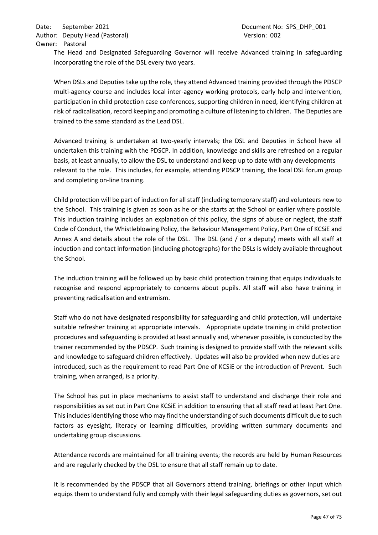The Head and Designated Safeguarding Governor will receive Advanced training in safeguarding incorporating the role of the DSL every two years.

When DSLs and Deputies take up the role, they attend Advanced training provided through the PDSCP multi-agency course and includes local inter-agency working protocols, early help and intervention, participation in child protection case conferences, supporting children in need, identifying children at risk of radicalisation, record keeping and promoting a culture of listening to children. The Deputies are trained to the same standard as the Lead DSL.

Advanced training is undertaken at two-yearly intervals; the DSL and Deputies in School have all undertaken this training with the PDSCP. In addition, knowledge and skills are refreshed on a regular basis, at least annually, to allow the DSL to understand and keep up to date with any developments relevant to the role. This includes, for example, attending PDSCP training, the local DSL forum group and completing on-line training.

Child protection will be part of induction for all staff (including temporary staff) and volunteers new to the School. This training is given as soon as he or she starts at the School or earlier where possible. This induction training includes an explanation of this policy, the signs of abuse or neglect, the staff Code of Conduct, the Whistleblowing Policy, the Behaviour Management Policy, Part One of KCSiE and Annex A and details about the role of the DSL. The DSL (and / or a deputy) meets with all staff at induction and contact information (including photographs) for the DSLs is widely available throughout the School.

The induction training will be followed up by basic child protection training that equips individuals to recognise and respond appropriately to concerns about pupils. All staff will also have training in preventing radicalisation and extremism.

Staff who do not have designated responsibility for safeguarding and child protection, will undertake suitable refresher training at appropriate intervals. Appropriate update training in child protection procedures and safeguarding is provided at least annually and, whenever possible, is conducted by the trainer recommended by the PDSCP. Such training is designed to provide staff with the relevant skills and knowledge to safeguard children effectively. Updates will also be provided when new duties are introduced, such as the requirement to read Part One of KCSiE or the introduction of Prevent. Such training, when arranged, is a priority.

The School has put in place mechanisms to assist staff to understand and discharge their role and responsibilities as set out in Part One KCSiE in addition to ensuring that all staff read at least Part One. This includes identifying those who may find the understanding of such documents difficult due to such factors as eyesight, literacy or learning difficulties, providing written summary documents and undertaking group discussions.

Attendance records are maintained for all training events; the records are held by Human Resources and are regularly checked by the DSL to ensure that all staff remain up to date.

It is recommended by the PDSCP that all Governors attend training, briefings or other input which equips them to understand fully and comply with their legal safeguarding duties as governors, set out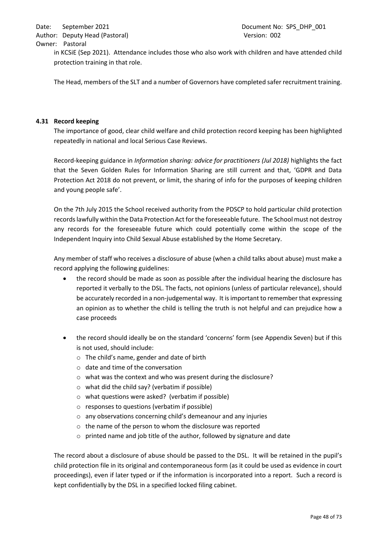# Owner: Pastoral

in KCSiE (Sep 2021). Attendance includes those who also work with children and have attended child protection training in that role.

The Head, members of the SLT and a number of Governors have completed safer recruitment training.

### **4.31 Record keeping**

The importance of good, clear child welfare and child protection record keeping has been highlighted repeatedly in national and local Serious Case Reviews.

Record-keeping guidance in *Information sharing: advice for practitioners (Jul 2018)* highlights the fact that the Seven Golden Rules for Information Sharing are still current and that, 'GDPR and Data Protection Act 2018 do not prevent, or limit, the sharing of info for the purposes of keeping children and young people safe'.

On the 7th July 2015 the School received authority from the PDSCP to hold particular child protection records lawfully within the Data Protection Act for the foreseeable future. The School must not destroy any records for the foreseeable future which could potentially come within the scope of the Independent Inquiry into Child Sexual Abuse established by the Home Secretary.

Any member of staff who receives a disclosure of abuse (when a child talks about abuse) must make a record applying the following guidelines:

- the record should be made as soon as possible after the individual hearing the disclosure has reported it verbally to the DSL. The facts, not opinions (unless of particular relevance), should be accurately recorded in a non-judgemental way. It isimportant to remember that expressing an opinion as to whether the child is telling the truth is not helpful and can prejudice how a case proceeds
- the record should ideally be on the standard 'concerns' form (see Appendix Seven) but if this is not used, should include:
	- o The child's name, gender and date of birth
	- o date and time of the conversation
	- o what was the context and who was present during the disclosure?
	- o what did the child say? (verbatim if possible)
	- o what questions were asked? (verbatim if possible)
	- o responses to questions (verbatim if possible)
	- o any observations concerning child's demeanour and any injuries
	- o the name of the person to whom the disclosure was reported
	- o printed name and job title of the author, followed by signature and date

The record about a disclosure of abuse should be passed to the DSL. It will be retained in the pupil's child protection file in its original and contemporaneous form (as it could be used as evidence in court proceedings), even if later typed or if the information is incorporated into a report. Such a record is kept confidentially by the DSL in a specified locked filing cabinet.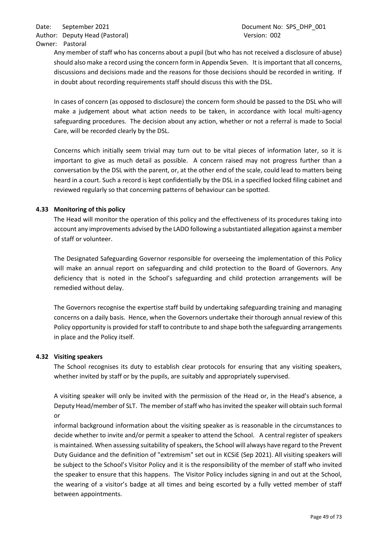Any member of staff who has concerns about a pupil (but who has not received a disclosure of abuse) should also make a record using the concern form in Appendix Seven. It is important that all concerns, discussions and decisions made and the reasons for those decisions should be recorded in writing. If in doubt about recording requirements staff should discuss this with the DSL.

In cases of concern (as opposed to disclosure) the concern form should be passed to the DSL who will make a judgement about what action needs to be taken, in accordance with local multi-agency safeguarding procedures. The decision about any action, whether or not a referral is made to Social Care, will be recorded clearly by the DSL.

Concerns which initially seem trivial may turn out to be vital pieces of information later, so it is important to give as much detail as possible. A concern raised may not progress further than a conversation by the DSL with the parent, or, at the other end of the scale, could lead to matters being heard in a court. Such a record is kept confidentially by the DSL in a specified locked filing cabinet and reviewed regularly so that concerning patterns of behaviour can be spotted.

### **4.33 Monitoring of this policy**

The Head will monitor the operation of this policy and the effectiveness of its procedures taking into account any improvements advised by the LADO following a substantiated allegation against a member of staff or volunteer.

The Designated Safeguarding Governor responsible for overseeing the implementation of this Policy will make an annual report on safeguarding and child protection to the Board of Governors. Any deficiency that is noted in the School's safeguarding and child protection arrangements will be remedied without delay.

The Governors recognise the expertise staff build by undertaking safeguarding training and managing concerns on a daily basis. Hence, when the Governors undertake their thorough annual review of this Policy opportunity is provided for staff to contribute to and shape both the safeguarding arrangements in place and the Policy itself.

### **4.32 Visiting speakers**

The School recognises its duty to establish clear protocols for ensuring that any visiting speakers, whether invited by staff or by the pupils, are suitably and appropriately supervised.

A visiting speaker will only be invited with the permission of the Head or, in the Head's absence, a Deputy Head/member of SLT. The member of staff who has invited the speaker will obtain such formal or

informal background information about the visiting speaker as is reasonable in the circumstances to decide whether to invite and/or permit a speaker to attend the School. A central register of speakers is maintained. When assessing suitability of speakers, the School will always have regard to the Prevent Duty Guidance and the definition of "extremism" set out in KCSiE (Sep 2021). All visiting speakers will be subject to the School's Visitor Policy and it is the responsibility of the member of staff who invited the speaker to ensure that this happens. The Visitor Policy includes signing in and out at the School, the wearing of a visitor's badge at all times and being escorted by a fully vetted member of staff between appointments.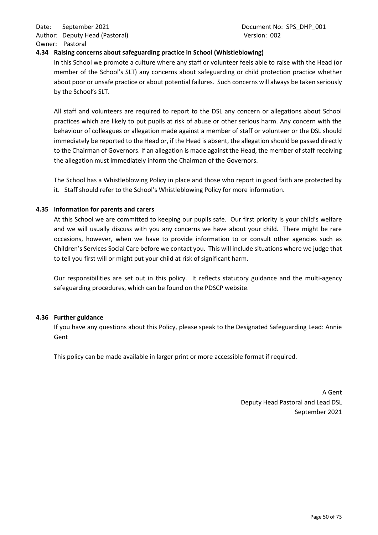### **4.34 Raising concerns about safeguarding practice in School (Whistleblowing)**

In this School we promote a culture where any staff or volunteer feels able to raise with the Head (or member of the School's SLT) any concerns about safeguarding or child protection practice whether about poor or unsafe practice or about potential failures. Such concerns will always be taken seriously by the School's SLT.

All staff and volunteers are required to report to the DSL any concern or allegations about School practices which are likely to put pupils at risk of abuse or other serious harm. Any concern with the behaviour of colleagues or allegation made against a member of staff or volunteer or the DSL should immediately be reported to the Head or, if the Head is absent, the allegation should be passed directly to the Chairman of Governors. If an allegation is made against the Head, the member of staff receiving the allegation must immediately inform the Chairman of the Governors.

The School has a Whistleblowing Policy in place and those who report in good faith are protected by it. Staff should refer to the School's Whistleblowing Policy for more information.

### **4.35 Information for parents and carers**

At this School we are committed to keeping our pupils safe. Our first priority is your child's welfare and we will usually discuss with you any concerns we have about your child. There might be rare occasions, however, when we have to provide information to or consult other agencies such as Children's Services Social Care before we contact you. This will include situations where we judge that to tell you first will or might put your child at risk of significant harm.

Our responsibilities are set out in this policy. It reflects statutory guidance and the multi-agency safeguarding procedures, which can be found on the PDSCP website.

### **4.36 Further guidance**

If you have any questions about this Policy, please speak to the Designated Safeguarding Lead: Annie Gent

This policy can be made available in larger print or more accessible format if required.

A Gent Deputy Head Pastoral and Lead DSL September 2021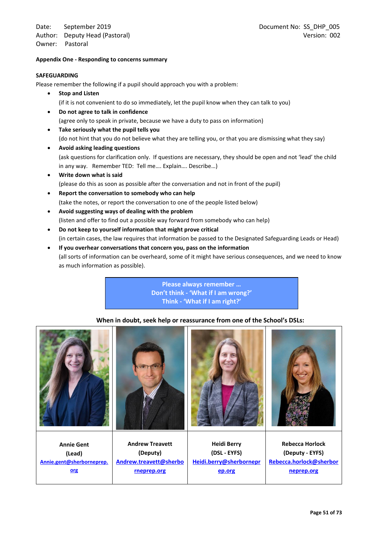#### **Appendix One - Responding to concerns summary**

#### **SAFEGUARDING**

Please remember the following if a pupil should approach you with a problem:

- **Stop and Listen** (if it is not convenient to do so immediately, let the pupil know when they can talk to you)
- **Do not agree to talk in confidence** (agree only to speak in private, because we have a duty to pass on information)
- **Take seriously what the pupil tells you** (do not hint that you do not believe what they are telling you, or that you are dismissing what they say)
- **Avoid asking leading questions** (ask questions for clarification only. If questions are necessary, they should be open and not 'lead' the child in any way. Remember TED: Tell me…. Explain…. Describe…)
- **Write down what is said** (please do this as soon as possible after the conversation and not in front of the pupil)
- **Report the conversation to somebody who can help** (take the notes, or report the conversation to one of the people listed below)
- **Avoid suggesting ways of dealing with the problem** (listen and offer to find out a possible way forward from somebody who can help)
- **Do not keep to yourself information that might prove critical** (in certain cases, the law requires that information be passed to the Designated Safeguarding Leads or Head)
- **If you overhear conversations that concern you, pass on the information** (all sorts of information can be overheard, some of it might have serious consequences, and we need to know as much information as possible).

**Please always remember … Don't think - 'What if I am wrong?' Think - 'What if I am right?'**

### **When in doubt, seek help or reassurance from one of the School's DSLs:**

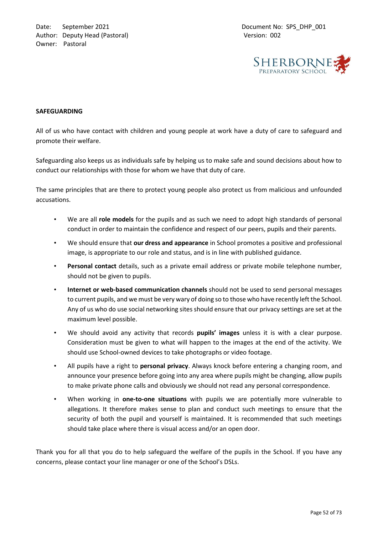

### **SAFEGUARDING**

All of us who have contact with children and young people at work have a duty of care to safeguard and promote their welfare.

Safeguarding also keeps us as individuals safe by helping us to make safe and sound decisions about how to conduct our relationships with those for whom we have that duty of care.

The same principles that are there to protect young people also protect us from malicious and unfounded accusations.

- We are all **role models** for the pupils and as such we need to adopt high standards of personal conduct in order to maintain the confidence and respect of our peers, pupils and their parents.
- We should ensure that **our dress and appearance** in School promotes a positive and professional image, is appropriate to our role and status, and is in line with published guidance.
- **Personal contact** details, such as a private email address or private mobile telephone number, should not be given to pupils.
- **Internet or web-based communication channels** should not be used to send personal messages to current pupils, and we must be very wary of doing so to those who have recently left the School. Any of us who do use social networking sites should ensure that our privacy settings are set at the maximum level possible.
- We should avoid any activity that records **pupils' images** unless it is with a clear purpose. Consideration must be given to what will happen to the images at the end of the activity. We should use School-owned devices to take photographs or video footage.
- All pupils have a right to **personal privacy**. Always knock before entering a changing room, and announce your presence before going into any area where pupils might be changing, allow pupils to make private phone calls and obviously we should not read any personal correspondence.
- When working in **one-to-one situations** with pupils we are potentially more vulnerable to allegations. It therefore makes sense to plan and conduct such meetings to ensure that the security of both the pupil and yourself is maintained. It is recommended that such meetings should take place where there is visual access and/or an open door.

Thank you for all that you do to help safeguard the welfare of the pupils in the School. If you have any concerns, please contact your line manager or one of the School's DSLs.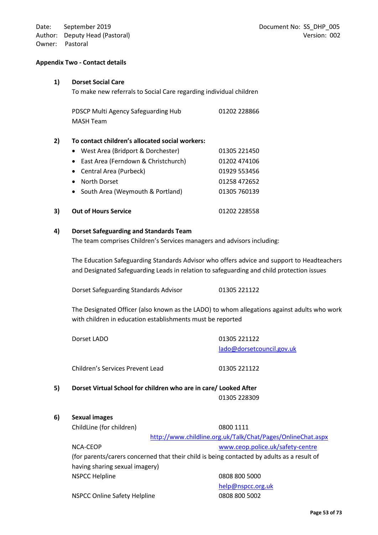#### **Appendix Two - Contact details**

#### **1) Dorset Social Care**

To make new referrals to Social Care regarding individual children

PDSCP Multi Agency Safeguarding Hub 01202 228866 MASH Team

#### **2) To contact children's allocated social workers:**

|    | • West Area (Bridport & Dorchester)   | 01305 221450 |
|----|---------------------------------------|--------------|
|    | • East Area (Ferndown & Christchurch) | 01202 474106 |
|    | • Central Area (Purbeck)              | 01929 553456 |
|    | • North Dorset                        | 01258 472652 |
|    | • South Area (Weymouth & Portland)    | 01305 760139 |
| 3) | <b>Out of Hours Service</b>           | 01202 228558 |

#### **4) Dorset Safeguarding and Standards Team**

The team comprises Children's Services managers and advisors including:

The Education Safeguarding Standards Advisor who offers advice and support to Headteachers and Designated Safeguarding Leads in relation to safeguarding and child protection issues

Dorset Safeguarding Standards Advisor 01305 221122

The Designated Officer (also known as the LADO) to whom allegations against adults who work with children in education establishments must be reported

|    | Dorset LADO                                                     | 01305 221122              |  |
|----|-----------------------------------------------------------------|---------------------------|--|
|    |                                                                 | lado@dorsetcouncil.gov.uk |  |
|    | Children's Services Prevent Lead                                | 01305 221122              |  |
| 5) | Dorset Virtual School for children who are in care/Looked After |                           |  |
|    |                                                                 | 01305 228309              |  |
|    |                                                                 |                           |  |

#### **6) Sexual images**

ChildLine (for children) 0800 1111

<http://www.childline.org.uk/Talk/Chat/Pages/OnlineChat.aspx>

NCA-CEOP [www.ceop.police.uk/safety-centre](http://www.ceop.police.uk/safety-centre) (for parents/carers concerned that their child is being contacted by adults as a result of having sharing sexual imagery) NSPCC Helpline 0808 800 5000

NSPCC Online Safety Helpline 0808 800 5002

[help@nspcc.org.uk](mailto:help@nspcc.org.uk)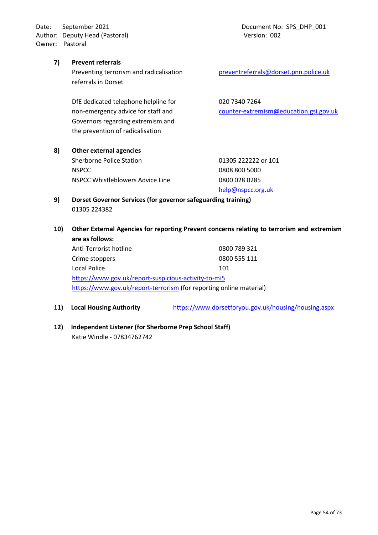Date: September 2021 **Document No: SPS\_DHP\_001** Author: Deputy Head (Pastoral) and the control of the Version: 002 Owner: Pastoral

#### **7) Prevent referrals**

Preventing terrorism and radicalisation [preventreferrals@dorset.pnn.police.uk](mailto:preventreferrals@dorset.pnn.police.uk) referrals in Dorset

DfE dedicated telephone helpline for 020 7340 7264 [Governors regarding extremism and](mailto:counterGovernors%20regarding%20extremism%20and%20-extremism@education.gsi.gov.uk)  the prevention of radicalisation

**8) Other external agencies** Sherborne Police Station 01305 222222 or 101

NSPCC 0808 800 5000 NSPCC Whistleblowers Advice Line 0800 028 0285

[help@nspcc.org.uk](mailto:help@nspcc.org.uk)

- **9) Dorset Governor Services (for governor safeguarding training)** 01305 224382
- **10) Other External Agencies for reporting Prevent concerns relating to terrorism and extremism are as follows:**

Anti-Terrorist hotline 0800 789 321 Crime stoppers 0800 555 111 Local Police 101 <https://www.gov.uk/report-suspicious-activity-to-mi5> <https://www.gov.uk/report-terrorism> (for reporting online material)

- **11) Local Housing Authority** <https://www.dorsetforyou.gov.uk/housing/housing.aspx>
- **12) Independent Listener (for Sherborne Prep School Staff)** Katie Windle - 07834762742

non-emergency advice for staff and [counter-extremism@education.gsi.gov.uk](mailto:counterGovernors%20regarding%20extremism%20and%20-extremism@education.gsi.gov.uk)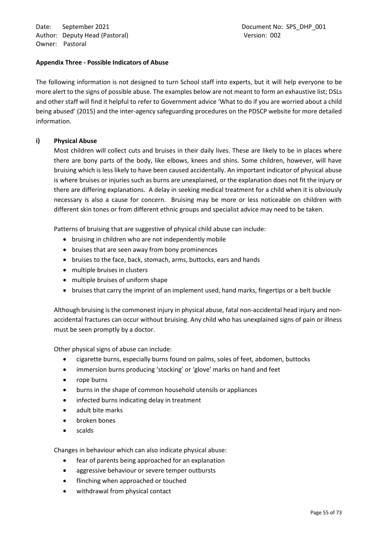Date: September 2021 **Document No: SPS\_DHP\_001** Author: Deputy Head (Pastoral) and the control of the Version: 002 Owner: Pastoral

### **Appendix Three - Possible Indicators of Abuse**

The following information is not designed to turn School staff into experts, but it will help everyone to be more alert to the signs of possible abuse. The examples below are not meant to form an exhaustive list; DSLs and other staff will find it helpful to refer to Government advice 'What to do if you are worried about a child being abused' (2015) and the inter-agency safeguarding procedures on the PDSCP website for more detailed information.

### **i) Physical Abuse**

Most children will collect cuts and bruises in their daily lives. These are likely to be in places where there are bony parts of the body, like elbows, knees and shins. Some children, however, will have bruising which is less likely to have been caused accidentally. An important indicator of physical abuse is where bruises or injuries such as burns are unexplained, or the explanation does not fit the injury or there are differing explanations. A delay in seeking medical treatment for a child when it is obviously necessary is also a cause for concern. Bruising may be more or less noticeable on children with different skin tones or from different ethnic groups and specialist advice may need to be taken.

Patterns of bruising that are suggestive of physical child abuse can include:

- bruising in children who are not independently mobile
- bruises that are seen away from bony prominences
- bruises to the face, back, stomach, arms, buttocks, ears and hands
- multiple bruises in clusters
- multiple bruises of uniform shape
- bruises that carry the imprint of an implement used, hand marks, fingertips or a belt buckle

Although bruising is the commonest injury in physical abuse, fatal non-accidental head injury and nonaccidental fractures can occur without bruising. Any child who has unexplained signs of pain or illness must be seen promptly by a doctor.

Other physical signs of abuse can include:

- cigarette burns, especially burns found on palms, soles of feet, abdomen, buttocks
- immersion burns producing 'stocking' or 'glove' marks on hand and feet
- rope burns
- burns in the shape of common household utensils or appliances
- infected burns indicating delay in treatment
- adult bite marks
- broken bones
- scalds

Changes in behaviour which can also indicate physical abuse:

- fear of parents being approached for an explanation
- aggressive behaviour or severe temper outbursts
- flinching when approached or touched
- withdrawal from physical contact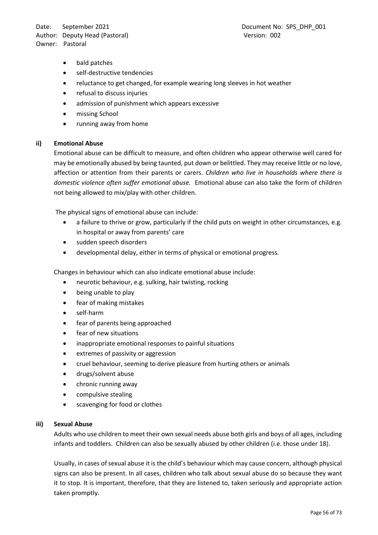Date: September 2021 and the control of the Document No: SPS\_DHP\_001 Author: Deputy Head (Pastoral) and the control of the Version: 002 Owner: Pastoral

- bald patches
- self-destructive tendencies
- reluctance to get changed, for example wearing long sleeves in hot weather
- refusal to discuss injuries
- admission of punishment which appears excessive
- missing School
- running away from home

#### **ii) Emotional Abuse**

Emotional abuse can be difficult to measure, and often children who appear otherwise well cared for may be emotionally abused by being taunted, put down or belittled. They may receive little or no love, affection or attention from their parents or carers. *Children who live in households where there is domestic violence often suffer emotional abuse.* Emotional abuse can also take the form of children not being allowed to mix/play with other children.

The physical signs of emotional abuse can include:

- a failure to thrive or grow, particularly if the child puts on weight in other circumstances, e.g. in hospital or away from parents' care
- sudden speech disorders
- developmental delay, either in terms of physical or emotional progress.

Changes in behaviour which can also indicate emotional abuse include:

- neurotic behaviour, e.g. sulking, hair twisting, rocking
- being unable to play
- fear of making mistakes
- self-harm
- fear of parents being approached
- fear of new situations
- inappropriate emotional responses to painful situations
- extremes of passivity or aggression
- cruel behaviour, seeming to derive pleasure from hurting others or animals
- drugs/solvent abuse
- chronic running away
- compulsive stealing
- scavenging for food or clothes

#### **iii) Sexual Abuse**

Adults who use children to meet their own sexual needs abuse both girls and boys of all ages, including infants and toddlers. Children can also be sexually abused by other children (i.e. those under 18).

Usually, in cases of sexual abuse it is the child's behaviour which may cause concern, although physical signs can also be present. In all cases, children who talk about sexual abuse do so because they want it to stop. It is important, therefore, that they are listened to, taken seriously and appropriate action taken promptly.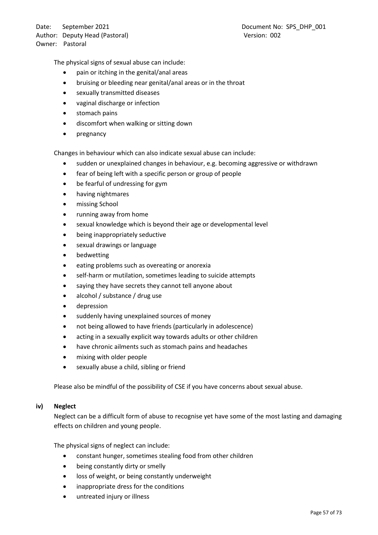The physical signs of sexual abuse can include:

- pain or itching in the genital/anal areas
- bruising or bleeding near genital/anal areas or in the throat
- sexually transmitted diseases
- vaginal discharge or infection
- stomach pains
- discomfort when walking or sitting down
- pregnancy

Changes in behaviour which can also indicate sexual abuse can include:

- sudden or unexplained changes in behaviour, e.g. becoming aggressive or withdrawn
- fear of being left with a specific person or group of people
- be fearful of undressing for gym
- having nightmares
- missing School
- running away from home
- sexual knowledge which is beyond their age or developmental level
- being inappropriately seductive
- sexual drawings or language
- **bedwetting**
- eating problems such as overeating or anorexia
- self-harm or mutilation, sometimes leading to suicide attempts
- saying they have secrets they cannot tell anyone about
- alcohol / substance / drug use
- depression
- suddenly having unexplained sources of money
- not being allowed to have friends (particularly in adolescence)
- acting in a sexually explicit way towards adults or other children
- have chronic ailments such as stomach pains and headaches
- mixing with older people
- sexually abuse a child, sibling or friend

Please also be mindful of the possibility of CSE if you have concerns about sexual abuse.

### **iv) Neglect**

Neglect can be a difficult form of abuse to recognise yet have some of the most lasting and damaging effects on children and young people.

The physical signs of neglect can include:

- constant hunger, sometimes stealing food from other children
- being constantly dirty or smelly
- loss of weight, or being constantly underweight
- inappropriate dress for the conditions
- untreated injury or illness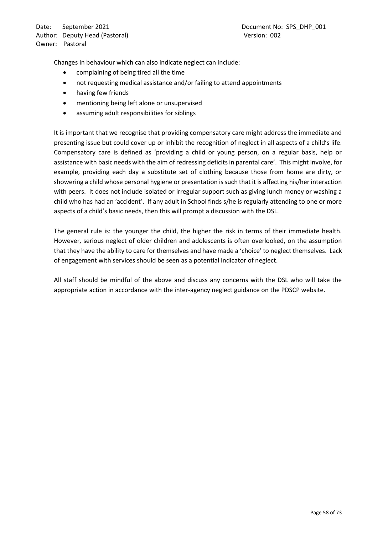Changes in behaviour which can also indicate neglect can include:

- complaining of being tired all the time
- not requesting medical assistance and/or failing to attend appointments
- having few friends
- mentioning being left alone or unsupervised
- assuming adult responsibilities for siblings

It is important that we recognise that providing compensatory care might address the immediate and presenting issue but could cover up or inhibit the recognition of neglect in all aspects of a child's life. Compensatory care is defined as 'providing a child or young person, on a regular basis, help or assistance with basic needs with the aim of redressing deficits in parental care'. This might involve, for example, providing each day a substitute set of clothing because those from home are dirty, or showering a child whose personal hygiene or presentation is such that it is affecting his/her interaction with peers. It does not include isolated or irregular support such as giving lunch money or washing a child who has had an 'accident'. If any adult in School finds s/he is regularly attending to one or more aspects of a child's basic needs, then this will prompt a discussion with the DSL.

The general rule is: the younger the child, the higher the risk in terms of their immediate health. However, serious neglect of older children and adolescents is often overlooked, on the assumption that they have the ability to care for themselves and have made a 'choice' to neglect themselves. Lack of engagement with services should be seen as a potential indicator of neglect.

All staff should be mindful of the above and discuss any concerns with the DSL who will take the appropriate action in accordance with the inter-agency neglect guidance on the PDSCP website.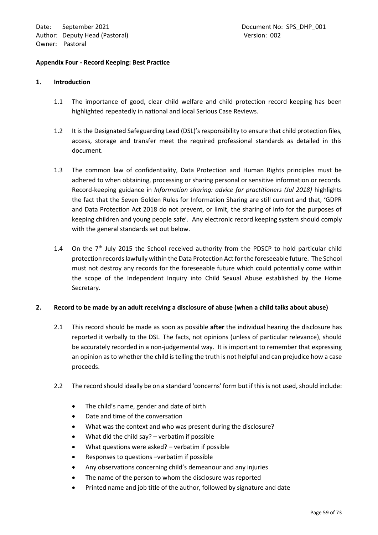#### **Appendix Four - Record Keeping: Best Practice**

#### **1. Introduction**

- 1.1 The importance of good, clear child welfare and child protection record keeping has been highlighted repeatedly in national and local Serious Case Reviews.
- 1.2 It is the Designated Safeguarding Lead (DSL)'s responsibility to ensure that child protection files, access, storage and transfer meet the required professional standards as detailed in this document.
- 1.3 The common law of confidentiality, Data Protection and Human Rights principles must be adhered to when obtaining, processing or sharing personal or sensitive information or records. Record-keeping guidance in *Information sharing: advice for practitioners (Jul 2018)* highlights the fact that the Seven Golden Rules for Information Sharing are still current and that, 'GDPR and Data Protection Act 2018 do not prevent, or limit, the sharing of info for the purposes of keeping children and young people safe'. Any electronic record keeping system should comply with the general standards set out below.
- 1.4 On the  $7<sup>th</sup>$  July 2015 the School received authority from the PDSCP to hold particular child protection records lawfully within the Data Protection Act for the foreseeable future. The School must not destroy any records for the foreseeable future which could potentially come within the scope of the Independent Inquiry into Child Sexual Abuse established by the Home Secretary.

### **2. Record to be made by an adult receiving a disclosure of abuse (when a child talks about abuse)**

- 2.1 This record should be made as soon as possible **after** the individual hearing the disclosure has reported it verbally to the DSL. The facts, not opinions (unless of particular relevance), should be accurately recorded in a non-judgemental way. It is important to remember that expressing an opinion as to whether the child is telling the truth is not helpful and can prejudice how a case proceeds.
- 2.2 The record should ideally be on a standard 'concerns' form but if this is not used, should include:
	- The child's name, gender and date of birth
	- Date and time of the conversation
	- What was the context and who was present during the disclosure?
	- What did the child say?  $-$  verbatim if possible
	- What questions were asked? verbatim if possible
	- Responses to questions –verbatim if possible
	- Any observations concerning child's demeanour and any injuries
	- The name of the person to whom the disclosure was reported
	- Printed name and job title of the author, followed by signature and date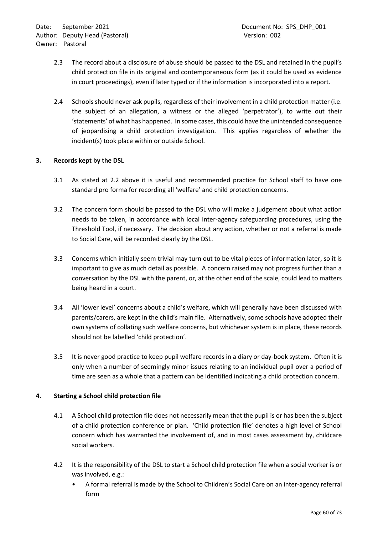- 2.3 The record about a disclosure of abuse should be passed to the DSL and retained in the pupil's child protection file in its original and contemporaneous form (as it could be used as evidence in court proceedings), even if later typed or if the information is incorporated into a report.
- 2.4 Schools should never ask pupils, regardless of their involvement in a child protection matter (i.e. the subject of an allegation, a witness or the alleged 'perpetrator'), to write out their 'statements' of what has happened. In some cases, this could have the unintended consequence of jeopardising a child protection investigation. This applies regardless of whether the incident(s) took place within or outside School.

### **3. Records kept by the DSL**

- 3.1 As stated at 2.2 above it is useful and recommended practice for School staff to have one standard pro forma for recording all 'welfare' and child protection concerns.
- 3.2 The concern form should be passed to the DSL who will make a judgement about what action needs to be taken, in accordance with local inter-agency safeguarding procedures, using the Threshold Tool, if necessary. The decision about any action, whether or not a referral is made to Social Care, will be recorded clearly by the DSL.
- 3.3 Concerns which initially seem trivial may turn out to be vital pieces of information later, so it is important to give as much detail as possible. A concern raised may not progress further than a conversation by the DSL with the parent, or, at the other end of the scale, could lead to matters being heard in a court.
- 3.4 All 'lower level' concerns about a child's welfare, which will generally have been discussed with parents/carers, are kept in the child's main file. Alternatively, some schools have adopted their own systems of collating such welfare concerns, but whichever system is in place, these records should not be labelled 'child protection'.
- 3.5 It is never good practice to keep pupil welfare records in a diary or day-book system. Often it is only when a number of seemingly minor issues relating to an individual pupil over a period of time are seen as a whole that a pattern can be identified indicating a child protection concern.

### **4. Starting a School child protection file**

- 4.1 A School child protection file does not necessarily mean that the pupil is or has been the subject of a child protection conference or plan. 'Child protection file' denotes a high level of School concern which has warranted the involvement of, and in most cases assessment by, childcare social workers.
- 4.2 It is the responsibility of the DSL to start a School child protection file when a social worker is or was involved, e.g.:
	- A formal referral is made by the School to Children's Social Care on an inter-agency referral form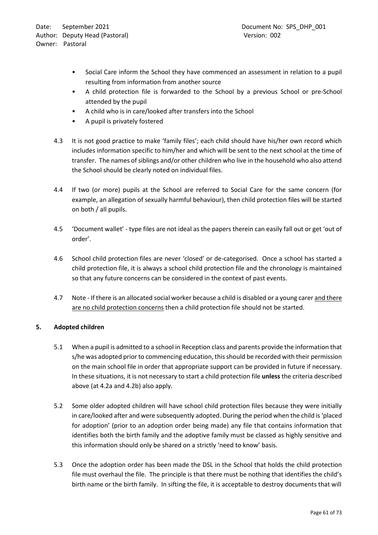- Social Care inform the School they have commenced an assessment in relation to a pupil resulting from information from another source
- A child protection file is forwarded to the School by a previous School or pre-School attended by the pupil
- A child who is in care/looked after transfers into the School
- A pupil is privately fostered
- 4.3 It is not good practice to make 'family files'; each child should have his/her own record which includes information specific to him/her and which will be sent to the next school at the time of transfer. The names of siblings and/or other children who live in the household who also attend the School should be clearly noted on individual files.
- 4.4 If two (or more) pupils at the School are referred to Social Care for the same concern (for example, an allegation of sexually harmful behaviour), then child protection files will be started on both / all pupils.
- 4.5 'Document wallet' type files are not ideal as the papers therein can easily fall out or get 'out of order'.
- 4.6 School child protection files are never 'closed' or de-categorised. Once a school has started a child protection file, it is always a school child protection file and the chronology is maintained so that any future concerns can be considered in the context of past events.
- 4.7 Note If there is an allocated social worker because a child is disabled or a young carer and there are no child protection concerns then a child protection file should not be started.

# **5. Adopted children**

- 5.1 When a pupil is admitted to a school in Reception class and parents provide the information that s/he was adopted prior to commencing education, this should be recorded with their permission on the main school file in order that appropriate support can be provided in future if necessary. In these situations, it is not necessary to start a child protection file **unless** the criteria described above (at 4.2a and 4.2b) also apply.
- 5.2 Some older adopted children will have school child protection files because they were initially in care/looked after and were subsequently adopted. During the period when the child is 'placed for adoption' (prior to an adoption order being made) any file that contains information that identifies both the birth family and the adoptive family must be classed as highly sensitive and this information should only be shared on a strictly 'need to know' basis.
- 5.3 Once the adoption order has been made the DSL in the School that holds the child protection file must overhaul the file. The principle is that there must be nothing that identifies the child's birth name or the birth family. In sifting the file, it is acceptable to destroy documents that will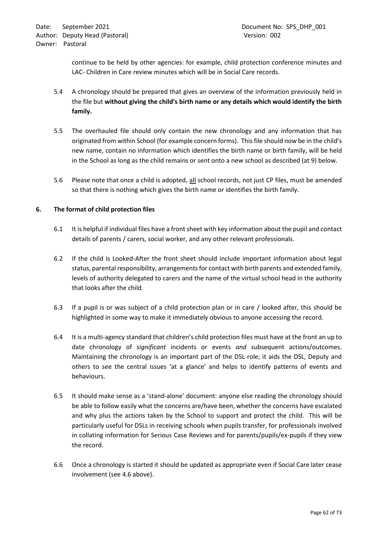continue to be held by other agencies: for example, child protection conference minutes and LAC- Children in Care review minutes which will be in Social Care records.

- 5.4 A chronology should be prepared that gives an overview of the information previously held in the file but **without giving the child's birth name or any details which would identify the birth family.**
- 5.5 The overhauled file should only contain the new chronology and any information that has originated from within School (for example concern forms). This file should now be in the child's new name, contain no information which identifies the birth name or birth family, will be held in the School as long as the child remains or sent onto a new school as described (at 9) below.
- 5.6 Please note that once a child is adopted, all school records, not just CP files, must be amended so that there is nothing which gives the birth name or identifies the birth family.

### **6. The format of child protection files**

- 6.1 It is helpful if individual files have a front sheet with key information about the pupil and contact details of parents / carers, social worker, and any other relevant professionals.
- 6.2 If the child is Looked-After the front sheet should include important information about legal status, parental responsibility, arrangements for contact with birth parents and extended family, levels of authority delegated to carers and the name of the virtual school head in the authority that looks after the child.
- 6.3 If a pupil is or was subject of a child protection plan or in care / looked after, this should be highlighted in some way to make it immediately obvious to anyone accessing the record.
- 6.4 It is a multi-agency standard that children's child protection files must have at the front an up to date chronology of *significant* incidents or events *and* subsequent actions/outcomes. Maintaining the chronology is an important part of the DSL role; it aids the DSL, Deputy and others to see the central issues 'at a glance' and helps to identify patterns of events and behaviours.
- 6.5 It should make sense as a 'stand-alone' document: anyone else reading the chronology should be able to follow easily what the concerns are/have been, whether the concerns have escalated and why plus the actions taken by the School to support and protect the child. This will be particularly useful for DSLs in receiving schools when pupils transfer, for professionals involved in collating information for Serious Case Reviews and for parents/pupils/ex-pupils if they view the record.
- 6.6 Once a chronology is started it should be updated as appropriate even if Social Care later cease involvement (see 4.6 above).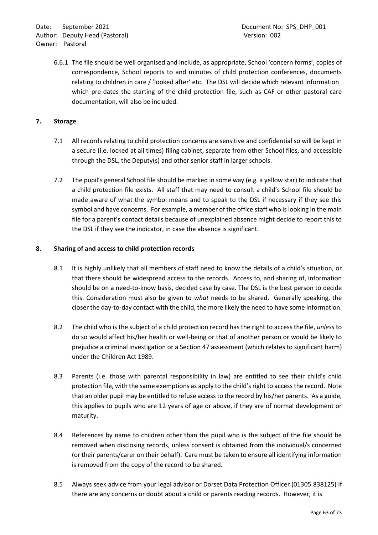6.6.1 The file should be well organised and include, as appropriate, School 'concern forms', copies of correspondence, School reports to and minutes of child protection conferences, documents relating to children in care / 'looked after' etc. The DSL will decide which relevant information which pre-dates the starting of the child protection file, such as CAF or other pastoral care documentation, will also be included.

### **7. Storage**

- 7.1 All records relating to child protection concerns are sensitive and confidential so will be kept in a secure (i.e. locked at all times) filing cabinet, separate from other School files, and accessible through the DSL, the Deputy(s) and other senior staff in larger schools.
- 7.2 The pupil's general School file should be marked in some way (e.g. a yellow star) to indicate that a child protection file exists. All staff that may need to consult a child's School file should be made aware of what the symbol means and to speak to the DSL if necessary if they see this symbol and have concerns. For example, a member of the office staff who is looking in the main file for a parent's contact details because of unexplained absence might decide to report this to the DSL if they see the indicator, in case the absence is significant.

### **8. Sharing of and access to child protection records**

- 8.1 It is highly unlikely that all members of staff need to know the details of a child's situation, or that there should be widespread access to the records. Access to, and sharing of, information should be on a need-to-know basis, decided case by case. The DSL is the best person to decide this. Consideration must also be given to *what* needs to be shared. Generally speaking, the closer the day-to-day contact with the child, the more likely the need to have some information.
- 8.2 The child who is the subject of a child protection record has the right to access the file, *unless* to do so would affect his/her health or well-being or that of another person or would be likely to prejudice a criminal investigation or a Section 47 assessment (which relates to significant harm) under the Children Act 1989.
- 8.3 Parents (i.e. those with parental responsibility in law) are entitled to see their child's child protection file, with the same exemptions as apply to the child's right to access the record. Note that an older pupil may be entitled to refuse access to the record by his/her parents. As a guide, this applies to pupils who are 12 years of age or above, if they are of normal development or maturity.
- 8.4 References by name to children other than the pupil who is the subject of the file should be removed when disclosing records, unless consent is obtained from the individual/s concerned (or their parents/carer on their behalf). Care must be taken to ensure all identifying information is removed from the copy of the record to be shared.
- 8.5 Always seek advice from your legal advisor or Dorset Data Protection Officer (01305 838125) if there are any concerns or doubt about a child or parents reading records. However, it is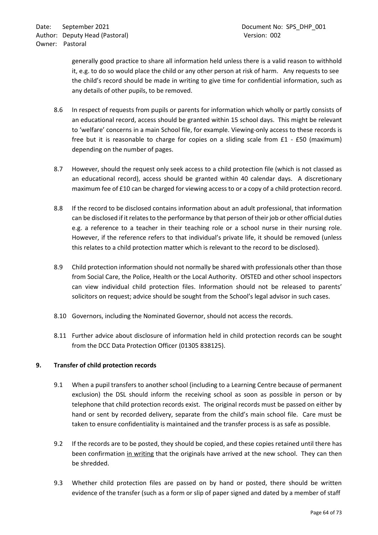generally good practice to share all information held unless there is a valid reason to withhold it, e.g. to do so would place the child or any other person at risk of harm. Any requests to see the child's record should be made in writing to give time for confidential information, such as any details of other pupils, to be removed.

- 8.6 In respect of requests from pupils or parents for information which wholly or partly consists of an educational record, access should be granted within 15 school days. This might be relevant to 'welfare' concerns in a main School file, for example. Viewing-only access to these records is free but it is reasonable to charge for copies on a sliding scale from £1 - £50 (maximum) depending on the number of pages.
- 8.7 However, should the request only seek access to a child protection file (which is not classed as an educational record), access should be granted within 40 calendar days. A discretionary maximum fee of £10 can be charged for viewing access to or a copy of a child protection record.
- 8.8 If the record to be disclosed contains information about an adult professional, that information can be disclosed if it relates to the performance by that person of their job or other official duties e.g. a reference to a teacher in their teaching role or a school nurse in their nursing role. However, if the reference refers to that individual's private life, it should be removed (unless this relates to a child protection matter which is relevant to the record to be disclosed).
- 8.9 Child protection information should not normally be shared with professionals other than those from Social Care, the Police, Health or the Local Authority. OfSTED and other school inspectors can view individual child protection files. Information should not be released to parents' solicitors on request; advice should be sought from the School's legal advisor in such cases.
- 8.10 Governors, including the Nominated Governor, should not access the records.
- 8.11 Further advice about disclosure of information held in child protection records can be sought from the DCC Data Protection Officer (01305 838125).

# **9. Transfer of child protection records**

- 9.1 When a pupil transfers to another school (including to a Learning Centre because of permanent exclusion) the DSL should inform the receiving school as soon as possible in person or by telephone that child protection records exist. The original records must be passed on either by hand or sent by recorded delivery, separate from the child's main school file. Care must be taken to ensure confidentiality is maintained and the transfer process is as safe as possible.
- 9.2 If the records are to be posted, they should be copied, and these copies retained until there has been confirmation in writing that the originals have arrived at the new school. They can then be shredded.
- 9.3 Whether child protection files are passed on by hand or posted, there should be written evidence of the transfer (such as a form or slip of paper signed and dated by a member of staff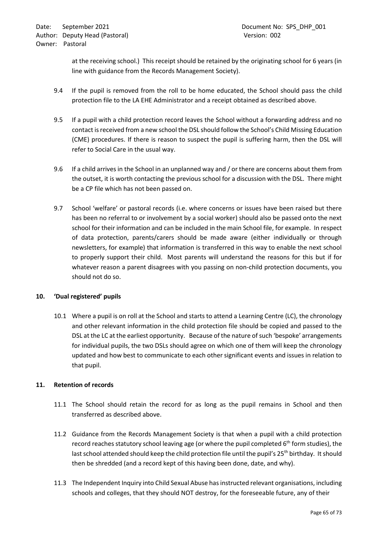at the receiving school.) This receipt should be retained by the originating school for 6 years (in line with guidance from the Records Management Society).

- 9.4 If the pupil is removed from the roll to be home educated, the School should pass the child protection file to the LA EHE Administrator and a receipt obtained as described above.
- 9.5 If a pupil with a child protection record leaves the School without a forwarding address and no contact is received from a new school the DSL should follow the School's Child Missing Education (CME) procedures. If there is reason to suspect the pupil is suffering harm, then the DSL will refer to Social Care in the usual way.
- 9.6 If a child arrives in the School in an unplanned way and / or there are concerns about them from the outset, it is worth contacting the previous school for a discussion with the DSL. There might be a CP file which has not been passed on.
- 9.7 School 'welfare' or pastoral records (i.e. where concerns or issues have been raised but there has been no referral to or involvement by a social worker) should also be passed onto the next school for their information and can be included in the main School file, for example. In respect of data protection, parents/carers should be made aware (either individually or through newsletters, for example) that information is transferred in this way to enable the next school to properly support their child. Most parents will understand the reasons for this but if for whatever reason a parent disagrees with you passing on non-child protection documents, you should not do so.

# **10. 'Dual registered' pupils**

10.1 Where a pupil is on roll at the School and starts to attend a Learning Centre (LC), the chronology and other relevant information in the child protection file should be copied and passed to the DSL at the LC at the earliest opportunity. Because of the nature of such 'bespoke' arrangements for individual pupils, the two DSLs should agree on which one of them will keep the chronology updated and how best to communicate to each other significant events and issues in relation to that pupil.

# **11. Retention of records**

- 11.1 The School should retain the record for as long as the pupil remains in School and then transferred as described above.
- 11.2 Guidance from the Records Management Society is that when a pupil with a child protection record reaches statutory school leaving age (or where the pupil completed  $6<sup>th</sup>$  form studies), the last school attended should keep the child protection file until the pupil's 25<sup>th</sup> birthday. It should then be shredded (and a record kept of this having been done, date, and why).
- 11.3 The Independent Inquiry into Child Sexual Abuse has instructed relevant organisations, including schools and colleges, that they should NOT destroy, for the foreseeable future, any of their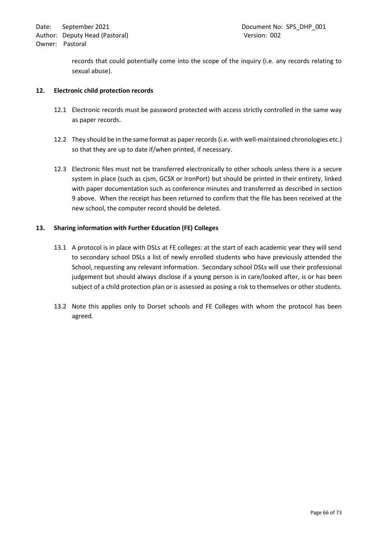records that could potentially come into the scope of the inquiry (i.e. any records relating to sexual abuse).

### **12. Electronic child protection records**

- 12.1 Electronic records must be password protected with access strictly controlled in the same way as paper records.
- 12.2 They should be in the same format as paper records (i.e. with well-maintained chronologies etc.) so that they are up to date if/when printed, if necessary.
- 12.3 Electronic files must not be transferred electronically to other schools unless there is a secure system in place (such as cjsm, GCSX or IronPort) but should be printed in their entirety, linked with paper documentation such as conference minutes and transferred as described in section 9 above. When the receipt has been returned to confirm that the file has been received at the new school, the computer record should be deleted.

### **13. Sharing information with Further Education (FE) Colleges**

- 13.1 A protocol is in place with DSLs at FE colleges: at the start of each academic year they will send to secondary school DSLs a list of newly enrolled students who have previously attended the School, requesting any relevant information. Secondary school DSLs will use their professional judgement but should always disclose if a young person is in care/looked after, is or has been subject of a child protection plan or is assessed as posing a risk to themselves or other students.
- 13.2 Note this applies only to Dorset schools and FE Colleges with whom the protocol has been agreed.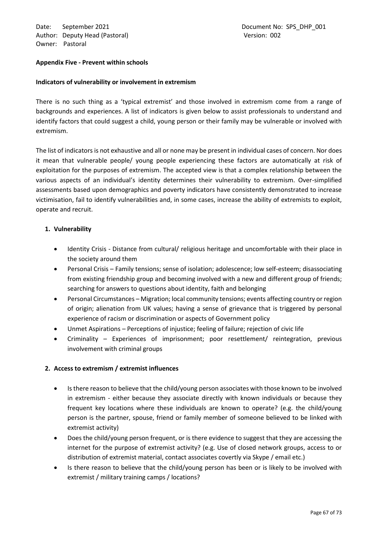Date: September 2021 **Document No: SPS\_DHP\_001** Author: Deputy Head (Pastoral) and the control of the Version: 002 Owner: Pastoral

#### **Appendix Five - Prevent within schools**

#### **Indicators of vulnerability or involvement in extremism**

There is no such thing as a 'typical extremist' and those involved in extremism come from a range of backgrounds and experiences. A list of indicators is given below to assist professionals to understand and identify factors that could suggest a child, young person or their family may be vulnerable or involved with extremism.

The list of indicators is not exhaustive and all or none may be present in individual cases of concern. Nor does it mean that vulnerable people/ young people experiencing these factors are automatically at risk of exploitation for the purposes of extremism. The accepted view is that a complex relationship between the various aspects of an individual's identity determines their vulnerability to extremism. Over-simplified assessments based upon demographics and poverty indicators have consistently demonstrated to increase victimisation, fail to identify vulnerabilities and, in some cases, increase the ability of extremists to exploit, operate and recruit.

### **1. Vulnerability**

- Identity Crisis Distance from cultural/ religious heritage and uncomfortable with their place in the society around them
- Personal Crisis Family tensions; sense of isolation; adolescence; low self-esteem; disassociating from existing friendship group and becoming involved with a new and different group of friends; searching for answers to questions about identity, faith and belonging
- Personal Circumstances Migration; local community tensions; events affecting country or region of origin; alienation from UK values; having a sense of grievance that is triggered by personal experience of racism or discrimination or aspects of Government policy
- Unmet Aspirations Perceptions of injustice; feeling of failure; rejection of civic life
- Criminality Experiences of imprisonment; poor resettlement/ reintegration, previous involvement with criminal groups

### **2. Access to extremism / extremist influences**

- Is there reason to believe that the child/young person associates with those known to be involved in extremism - either because they associate directly with known individuals or because they frequent key locations where these individuals are known to operate? (e.g. the child/young person is the partner, spouse, friend or family member of someone believed to be linked with extremist activity)
- Does the child/young person frequent, or is there evidence to suggest that they are accessing the internet for the purpose of extremist activity? (e.g. Use of closed network groups, access to or distribution of extremist material, contact associates covertly via Skype / email etc.)
- Is there reason to believe that the child/young person has been or is likely to be involved with extremist / military training camps / locations?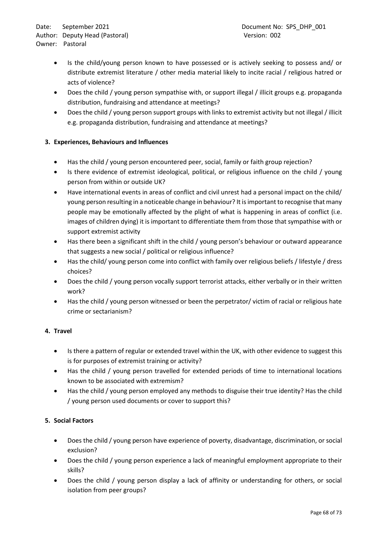- Is the child/young person known to have possessed or is actively seeking to possess and/ or distribute extremist literature / other media material likely to incite racial / religious hatred or acts of violence?
- Does the child / young person sympathise with, or support illegal / illicit groups e.g. propaganda distribution, fundraising and attendance at meetings?
- Does the child / young person support groups with links to extremist activity but not illegal / illicit e.g. propaganda distribution, fundraising and attendance at meetings?

# **3. Experiences, Behaviours and Influences**

- Has the child / young person encountered peer, social, family or faith group rejection?
- Is there evidence of extremist ideological, political, or religious influence on the child / young person from within or outside UK?
- Have international events in areas of conflict and civil unrest had a personal impact on the child/ young person resulting in a noticeable change in behaviour? It is important to recognise that many people may be emotionally affected by the plight of what is happening in areas of conflict (i.e. images of children dying) it is important to differentiate them from those that sympathise with or support extremist activity
- Has there been a significant shift in the child / young person's behaviour or outward appearance that suggests a new social / political or religious influence?
- Has the child/ young person come into conflict with family over religious beliefs / lifestyle / dress choices?
- Does the child / young person vocally support terrorist attacks, either verbally or in their written work?
- Has the child / young person witnessed or been the perpetrator/ victim of racial or religious hate crime or sectarianism?

# **4. Travel**

- Is there a pattern of regular or extended travel within the UK, with other evidence to suggest this is for purposes of extremist training or activity?
- Has the child / young person travelled for extended periods of time to international locations known to be associated with extremism?
- Has the child / young person employed any methods to disguise their true identity? Has the child / young person used documents or cover to support this?

# **5. Social Factors**

- Does the child / young person have experience of poverty, disadvantage, discrimination, or social exclusion?
- Does the child / young person experience a lack of meaningful employment appropriate to their skills?
- Does the child / young person display a lack of affinity or understanding for others, or social isolation from peer groups?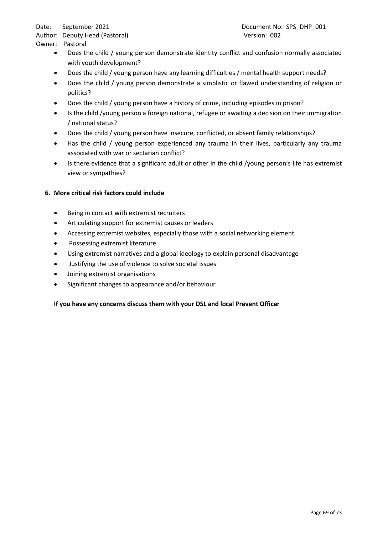- Does the child / young person demonstrate identity conflict and confusion normally associated with youth development?
- Does the child / young person have any learning difficulties / mental health support needs?
- Does the child / young person demonstrate a simplistic or flawed understanding of religion or politics?
- Does the child / young person have a history of crime, including episodes in prison?
- Is the child /young person a foreign national, refugee or awaiting a decision on their immigration / national status?
- Does the child / young person have insecure, conflicted, or absent family relationships?
- Has the child / young person experienced any trauma in their lives, particularly any trauma associated with war or sectarian conflict?
- Is there evidence that a significant adult or other in the child /young person's life has extremist view or sympathies?

# **6. More critical risk factors could include**

- Being in contact with extremist recruiters
- Articulating support for extremist causes or leaders
- Accessing extremist websites, especially those with a social networking element
- Possessing extremist literature
- Using extremist narratives and a global ideology to explain personal disadvantage
- Justifying the use of violence to solve societal issues
- Joining extremist organisations
- Significant changes to appearance and/or behaviour

# **If you have any concerns discuss them with your DSL and local Prevent Officer**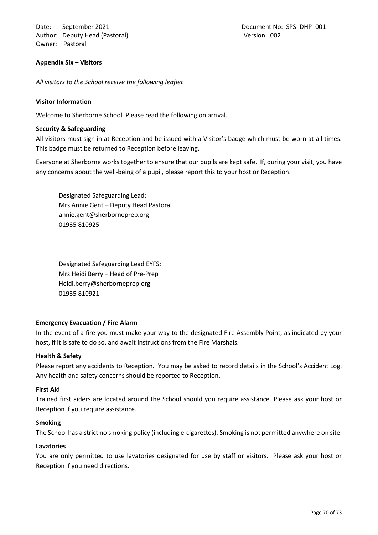Date: September 2021 **Document No: SPS\_DHP\_001** Author: Deputy Head (Pastoral) and the control of the Version: 002 Owner: Pastoral

#### **Appendix Six – Visitors**

*All visitors to the School receive the following leaflet*

#### **Visitor Information**

Welcome to Sherborne School. Please read the following on arrival.

#### **Security & Safeguarding**

All visitors must sign in at Reception and be issued with a Visitor's badge which must be worn at all times. This badge must be returned to Reception before leaving.

Everyone at Sherborne works together to ensure that our pupils are kept safe. If, during your visit, you have any concerns about the well-being of a pupil, please report this to your host or Reception.

Designated Safeguarding Lead: Mrs Annie Gent – Deputy Head Pastoral annie.gent@sherborneprep.org 01935 810925

Designated Safeguarding Lead EYFS: Mrs Heidi Berry – Head of Pre-Prep Heidi.berry@sherborneprep.org 01935 810921

### **Emergency Evacuation / Fire Alarm**

In the event of a fire you must make your way to the designated Fire Assembly Point, as indicated by your host, if it is safe to do so, and await instructions from the Fire Marshals.

### **Health & Safety**

Please report any accidents to Reception. You may be asked to record details in the School's Accident Log. Any health and safety concerns should be reported to Reception.

#### **First Aid**

Trained first aiders are located around the School should you require assistance. Please ask your host or Reception if you require assistance.

#### **Smoking**

The School has a strict no smoking policy (including e-cigarettes). Smoking is not permitted anywhere on site.

#### **Lavatories**

You are only permitted to use lavatories designated for use by staff or visitors. Please ask your host or Reception if you need directions.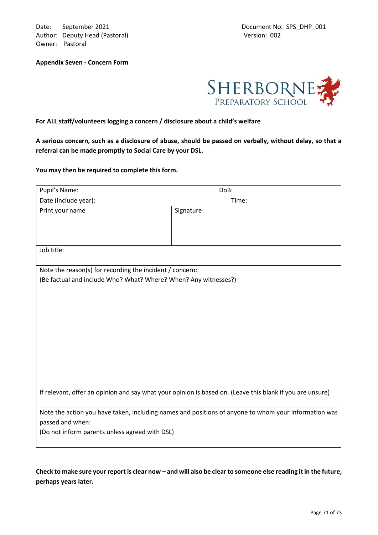Date: September 2021 **Document No: SPS\_DHP\_001** Author: Deputy Head (Pastoral) Version: 002 Owner: Pastoral

**Appendix Seven - Concern Form**



**For ALL staff/volunteers logging a concern / disclosure about a child's welfare**

**A serious concern, such as a disclosure of abuse, should be passed on verbally, without delay, so that a referral can be made promptly to Social Care by your DSL.**

**You may then be required to complete this form.** 

| Pupil's Name:                                                                                             | DoB:      |  |  |  |  |
|-----------------------------------------------------------------------------------------------------------|-----------|--|--|--|--|
| Date (include year):                                                                                      | Time:     |  |  |  |  |
| Print your name                                                                                           | Signature |  |  |  |  |
|                                                                                                           |           |  |  |  |  |
|                                                                                                           |           |  |  |  |  |
| Job title:                                                                                                |           |  |  |  |  |
| Note the reason(s) for recording the incident / concern:                                                  |           |  |  |  |  |
| (Be factual and include Who? What? Where? When? Any witnesses?)                                           |           |  |  |  |  |
|                                                                                                           |           |  |  |  |  |
|                                                                                                           |           |  |  |  |  |
|                                                                                                           |           |  |  |  |  |
|                                                                                                           |           |  |  |  |  |
|                                                                                                           |           |  |  |  |  |
|                                                                                                           |           |  |  |  |  |
|                                                                                                           |           |  |  |  |  |
|                                                                                                           |           |  |  |  |  |
|                                                                                                           |           |  |  |  |  |
| If relevant, offer an opinion and say what your opinion is based on. (Leave this blank if you are unsure) |           |  |  |  |  |
| Note the action you have taken, including names and positions of anyone to whom your information was      |           |  |  |  |  |
| passed and when:                                                                                          |           |  |  |  |  |
| (Do not inform parents unless agreed with DSL)                                                            |           |  |  |  |  |
|                                                                                                           |           |  |  |  |  |

**Check to make sure your report is clear now – and will also be clear to someone else reading it in the future, perhaps years later.**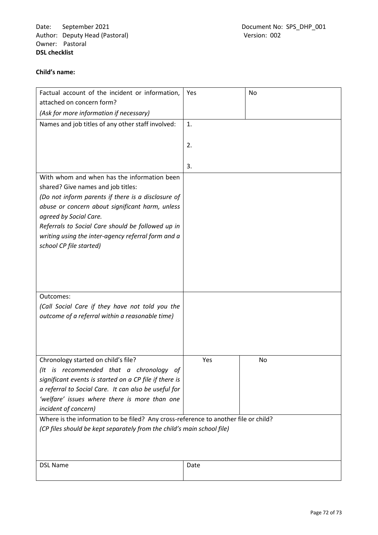Date: September 2021 <br>
Author: Deputy Head (Pastoral) 
and Comment No: SPS\_DHP\_001<br>
Document No: SPS\_DHP\_001 Author: Deputy Head (Pastoral) Owner: Pastoral **DSL checklist**

## **Child's name:**

| Factual account of the incident or information,<br>attached on concern form?        | Yes  | No |  |  |  |
|-------------------------------------------------------------------------------------|------|----|--|--|--|
| (Ask for more information if necessary)                                             |      |    |  |  |  |
| Names and job titles of any other staff involved:                                   | 1.   |    |  |  |  |
|                                                                                     | 2.   |    |  |  |  |
|                                                                                     |      |    |  |  |  |
|                                                                                     | 3.   |    |  |  |  |
| With whom and when has the information been                                         |      |    |  |  |  |
| shared? Give names and job titles:                                                  |      |    |  |  |  |
| (Do not inform parents if there is a disclosure of                                  |      |    |  |  |  |
| abuse or concern about significant harm, unless<br>agreed by Social Care.           |      |    |  |  |  |
| Referrals to Social Care should be followed up in                                   |      |    |  |  |  |
| writing using the inter-agency referral form and a                                  |      |    |  |  |  |
| school CP file started)                                                             |      |    |  |  |  |
|                                                                                     |      |    |  |  |  |
|                                                                                     |      |    |  |  |  |
|                                                                                     |      |    |  |  |  |
|                                                                                     |      |    |  |  |  |
| Outcomes:                                                                           |      |    |  |  |  |
| (Call Social Care if they have not told you the                                     |      |    |  |  |  |
| outcome of a referral within a reasonable time)                                     |      |    |  |  |  |
|                                                                                     |      |    |  |  |  |
|                                                                                     |      |    |  |  |  |
|                                                                                     |      |    |  |  |  |
| Chronology started on child's file?                                                 | Yes  | No |  |  |  |
| (It is recommended that a chronology of                                             |      |    |  |  |  |
| significant events is started on a CP file if there is                              |      |    |  |  |  |
| a referral to Social Care. It can also be useful for                                |      |    |  |  |  |
| 'welfare' issues where there is more than one                                       |      |    |  |  |  |
| incident of concern)                                                                |      |    |  |  |  |
| Where is the information to be filed? Any cross-reference to another file or child? |      |    |  |  |  |
| (CP files should be kept separately from the child's main school file)              |      |    |  |  |  |
|                                                                                     |      |    |  |  |  |
|                                                                                     |      |    |  |  |  |
| <b>DSL Name</b>                                                                     | Date |    |  |  |  |
|                                                                                     |      |    |  |  |  |